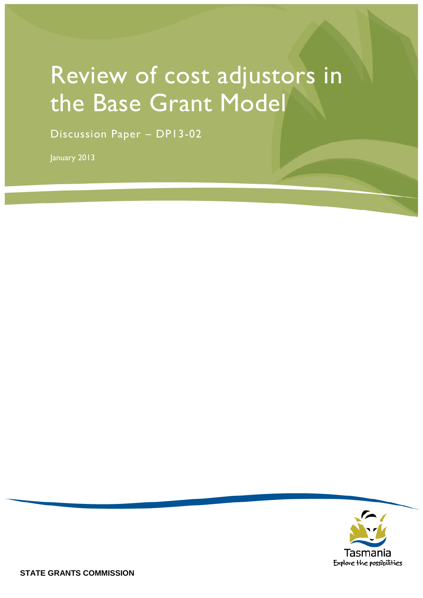# Review of cost adjustors in the Base Grant Model

Discussion Paper – DP13-02

January 2013

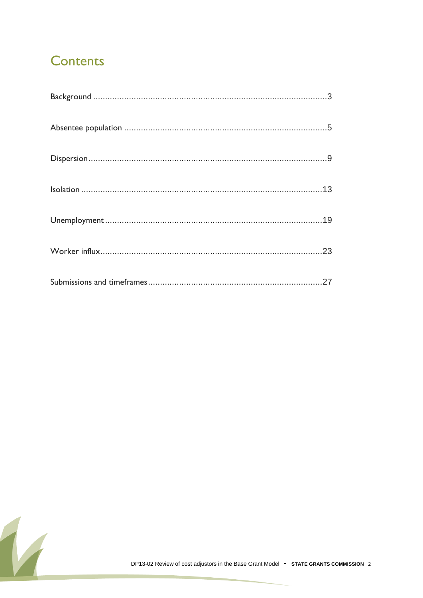### **Contents**

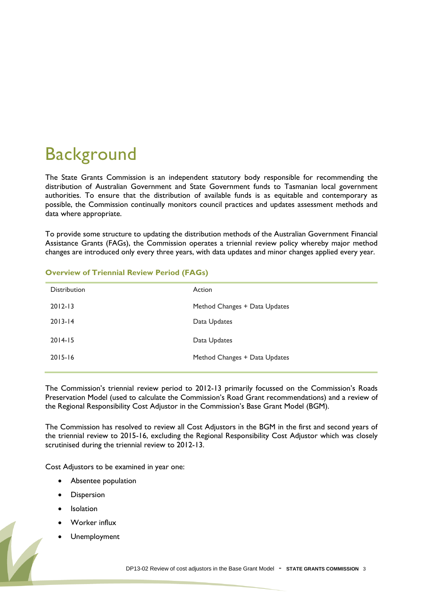## <span id="page-2-0"></span>**Background**

The State Grants Commission is an independent statutory body responsible for recommending the distribution of Australian Government and State Government funds to Tasmanian local government authorities. To ensure that the distribution of available funds is as equitable and contemporary as possible, the Commission continually monitors council practices and updates assessment methods and data where appropriate.

To provide some structure to updating the distribution methods of the Australian Government Financial Assistance Grants (FAGs), the Commission operates a triennial review policy whereby major method changes are introduced only every three years, with data updates and minor changes applied every year.

| <b>Distribution</b> | Action                        |
|---------------------|-------------------------------|
| $2012 - 13$         | Method Changes + Data Updates |
| $2013 - 14$         | Data Updates                  |
| $2014 - 15$         | Data Updates                  |
| $2015 - 16$         | Method Changes + Data Updates |
|                     |                               |

#### **Overview of Triennial Review Period (FAGs)**

The Commission's triennial review period to 2012-13 primarily focussed on the Commission's Roads Preservation Model (used to calculate the Commission's Road Grant recommendations) and a review of the Regional Responsibility Cost Adjustor in the Commission"s Base Grant Model (BGM).

The Commission has resolved to review all Cost Adjustors in the BGM in the first and second years of the triennial review to 2015-16, excluding the Regional Responsibility Cost Adjustor which was closely scrutinised during the triennial review to 2012-13.

Cost Adjustors to be examined in year one:

- Absentee population
- Dispersion
- Isolation
- Worker influx
- Unemployment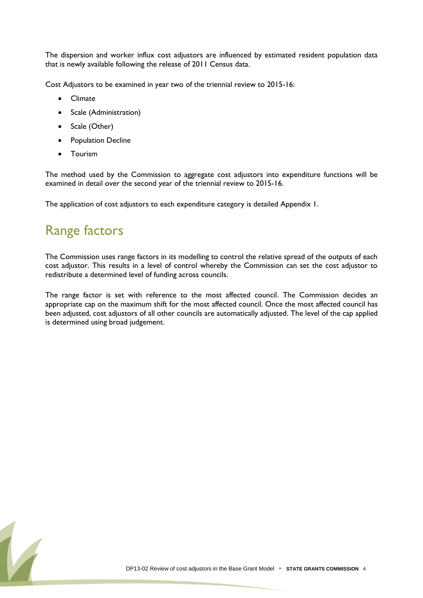The dispersion and worker influx cost adjustors are influenced by estimated resident population data that is newly available following the release of 2011 Census data.

Cost Adjustors to be examined in year two of the triennial review to 2015-16:

- Climate
- Scale (Administration)
- Scale (Other)
- Population Decline
- Tourism

The method used by the Commission to aggregate cost adjustors into expenditure functions will be examined in detail over the second year of the triennial review to 2015-16.

The application of cost adjustors to each expenditure category is detailed Appendix 1.

#### Range factors

The Commission uses range factors in its modelling to control the relative spread of the outputs of each cost adjustor. This results in a level of control whereby the Commission can set the cost adjustor to redistribute a determined level of funding across councils.

The range factor is set with reference to the most affected council. The Commission decides an appropriate cap on the maximum shift for the most affected council. Once the most affected council has been adjusted, cost adjustors of all other councils are automatically adjusted. The level of the cap applied is determined using broad judgement.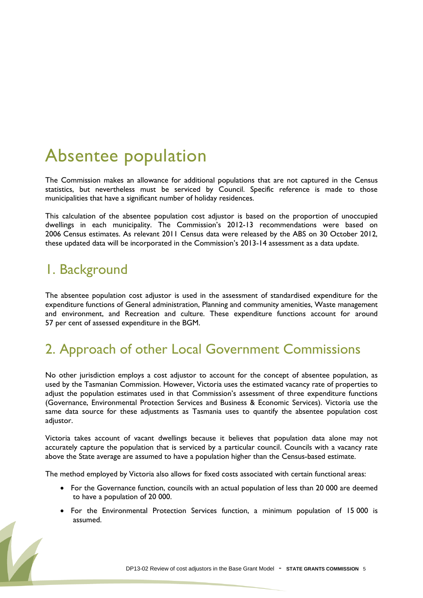## <span id="page-4-0"></span>Absentee population

The Commission makes an allowance for additional populations that are not captured in the Census statistics, but nevertheless must be serviced by Council. Specific reference is made to those municipalities that have a significant number of holiday residences.

This calculation of the absentee population cost adjustor is based on the proportion of unoccupied dwellings in each municipality. The Commission"s 2012-13 recommendations were based on 2006 Census estimates. As relevant 2011 Census data were released by the ABS on 30 October 2012, these updated data will be incorporated in the Commission"s 2013-14 assessment as a data update.

#### 1. Background

The absentee population cost adjustor is used in the assessment of standardised expenditure for the expenditure functions of General administration, Planning and community amenities, Waste management and environment, and Recreation and culture. These expenditure functions account for around 57 per cent of assessed expenditure in the BGM.

### 2. Approach of other Local Government Commissions

No other jurisdiction employs a cost adjustor to account for the concept of absentee population, as used by the Tasmanian Commission. However, Victoria uses the estimated vacancy rate of properties to adjust the population estimates used in that Commission's assessment of three expenditure functions (Governance, Environmental Protection Services and Business & Economic Services). Victoria use the same data source for these adjustments as Tasmania uses to quantify the absentee population cost adjustor.

Victoria takes account of vacant dwellings because it believes that population data alone may not accurately capture the population that is serviced by a particular council. Councils with a vacancy rate above the State average are assumed to have a population higher than the Census-based estimate.

The method employed by Victoria also allows for fixed costs associated with certain functional areas:

- For the Governance function, councils with an actual population of less than 20 000 are deemed to have a population of 20 000.
- For the Environmental Protection Services function, a minimum population of 15 000 is assumed.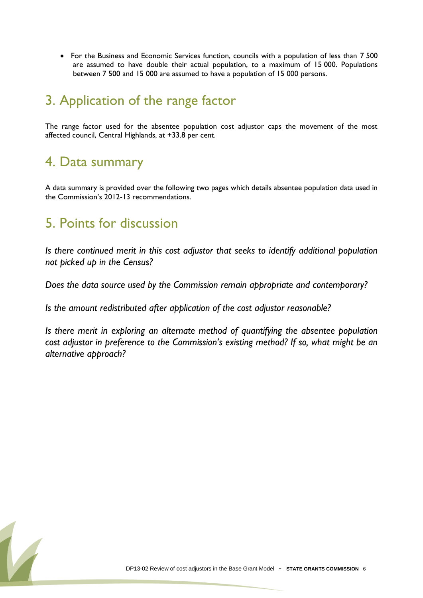• For the Business and Economic Services function, councils with a population of less than 7 500 are assumed to have double their actual population, to a maximum of 15 000. Populations between 7 500 and 15 000 are assumed to have a population of 15 000 persons.

### 3. Application of the range factor

The range factor used for the absentee population cost adjustor caps the movement of the most affected council, Central Highlands, at +33.8 per cent.

#### 4. Data summary

A data summary is provided over the following two pages which details absentee population data used in the Commission"s 2012-13 recommendations.

#### 5. Points for discussion

*Is there continued merit in this cost adjustor that seeks to identify additional population not picked up in the Census?*

*Does the data source used by the Commission remain appropriate and contemporary?*

*Is the amount redistributed after application of the cost adjustor reasonable?*

*Is there merit in exploring an alternate method of quantifying the absentee population cost adjustor in preference to the Commission's existing method? If so, what might be an alternative approach?*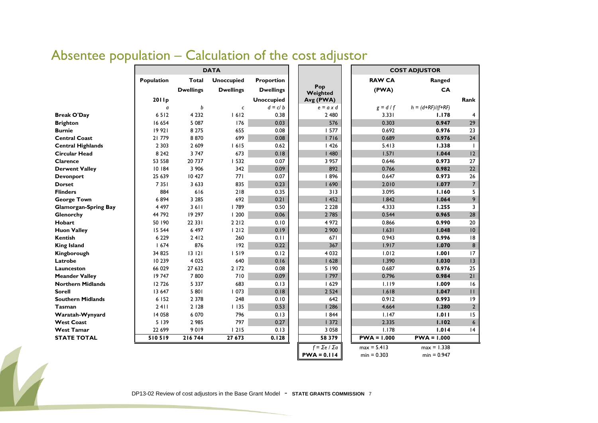|                             |            |                  | <b>DATA</b>       |                   |                       |               | <b>COST ADJUSTOR</b> |                 |
|-----------------------------|------------|------------------|-------------------|-------------------|-----------------------|---------------|----------------------|-----------------|
|                             | Population | Total            | <b>Unoccupied</b> | <b>Proportion</b> |                       | <b>RAW CA</b> | Ranged               |                 |
|                             |            | <b>Dwellings</b> | <b>Dwellings</b>  | <b>Dwellings</b>  | Pop<br>Weighted       | (PWA)         | CA                   |                 |
|                             | 2011p      |                  |                   | <b>Unoccupied</b> | Avg (PWA)             |               |                      | Rank            |
|                             | a          | b                | $\mathsf{C}$      | $d = c/b$         | $e = a \times d$      | $g = d/f$     | $h = (d+RF)/(f+RF)$  |                 |
| <b>Break O'Day</b>          | 6512       | 4 2 3 2          | 1612              | 0.38              | 2 4 8 0               | 3.331         | 1.178                | 4               |
| <b>Brighton</b>             | 16 654     | 5 0 8 7          | 176               | 0.03              | 576                   | 0.303         | 0.947                | 29              |
| <b>Burnie</b>               | 19 921     | 8 2 7 5          | 655               | 0.08              | 1577                  | 0.692         | 0.976                | 23              |
| <b>Central Coast</b>        | 21 779     | 8870             | 699               | 0.08              | 1716                  | 0.689         | 0.976                | 24              |
| <b>Central Highlands</b>    | 2 3 0 3    | 2 609            | 1615              | 0.62              | 1426                  | 5.413         | 1.338                | $\mathbf{I}$    |
| <b>Circular Head</b>        | 8 2 4 2    | 3 7 4 7          | 673               | 0.18              | 1480                  | 1.571         | 1.044                | 12              |
| Clarence                    | 53 558     | 20 737           | 532               | 0.07              | 3 9 5 7               | 0.646         | 0.973                | 27              |
| <b>Derwent Valley</b>       | 10 184     | 3 9 0 6          | 342               | 0.09              | 892                   | 0.766         | 0.982                | 22              |
| <b>Devonport</b>            | 25 639     | 10 427           | 771               | 0.07              | 896                   | 0.647         | 0.973                | 26              |
| <b>Dorset</b>               | 7351       | 3 6 3 3          | 835               | 0.23              | 1690                  | 2.010         | 1.077                | $\overline{7}$  |
| <b>Flinders</b>             | 884        | 616              | 218               | 0.35              | 313                   | 3.095         | 1.160                | 5               |
| <b>George Town</b>          | 6894       | 3 2 8 5          | 692               | 0.21              | 1452                  | 1.842         | 1.064                | 9               |
| <b>Glamorgan-Spring Bay</b> | 4 4 9 7    | 3611             | 789               | 0.50              | 2 2 2 8               | 4.333         | 1.255                | 3               |
| Glenorchy                   | 44 792     | 19 297           | 1200              | 0.06              | 2 7 8 5               | 0.544         | 0.965                | 28              |
| Hobart                      | 50 190     | 22 33 1          | 2 2 1 2           | 0.10              | 4 9 7 2               | 0.866         | 0.990                | 20              |
| <b>Huon Valley</b>          | 15 544     | 6 4 9 7          | 1212              | 0.19              | 2 900                 | 1.631         | 1.048                | 10              |
| <b>Kentish</b>              | 6 2 2 9    | 2412             | 260               | 0.11              | 671                   | 0.943         | 0.996                | 8               |
| <b>King Island</b>          | 1674       | 876              | 192               | 0.22              | 367                   | 1.917         | 1.070                | 8               |
| Kingborough                 | 34 825     | 13121            | 1519              | 0.12              | 4 0 3 2               | 1.012         | 1.001                | 17              |
| Latrobe                     | 10 239     | 4 0 2 5          | 640               | 0.16              | 1628                  | 1.390         | 1.030                | 13              |
| Launceston                  | 66 029     | 27 632           | 2 172             | 0.08              | 5 190                 | 0.687         | 0.976                | 25              |
| <b>Meander Valley</b>       | 19747      | 7800             | 710               | 0.09              | 797                   | 0.796         | 0.984                | 21              |
| <b>Northern Midlands</b>    | 12726      | 5 3 3 7          | 683               | 0.13              | 1629                  | 1.119         | 1.009                | 16              |
| <b>Sorell</b>               | 13 647     | 5 801            | 1073              | 0.18              | 2 5 2 4               | 1.618         | 1.047                | $\mathbf{H}$    |
| <b>Southern Midlands</b>    | 6 152      | 2 3 7 8          | 248               | 0.10              | 642                   | 0.912         | 0.993                | 9               |
| Tasman                      | 2411       | 2 1 2 8          | 1135              | 0.53              | 1286                  | 4.664         | 1.280                | $\overline{2}$  |
| Waratah-Wynyard             | 14 058     | 6 0 7 0          | 796               | 0.13              | 1844                  | 1.147         | 1.011                | 15              |
| <b>West Coast</b>           | 5 1 3 9    | 2 9 8 5          | 797               | 0.27              | 1372                  | 2.335         | 1.102                | $6\overline{6}$ |
| <b>West Tamar</b>           | 22 699     | 9019             | 1215              | 0.13              | 3 0 5 8               | 1.178         | 1.014                | 4               |
| <b>STATE TOTAL</b>          | 510519     | 216744           | 27 673            | 0.128             | 58 3 7 9              | $PWA = 1.000$ | $PWA = 1.000$        |                 |
|                             |            |                  |                   |                   | $f = \sum e / \sum a$ | $max = 5.413$ | $max = 1.338$        |                 |
|                             |            |                  |                   |                   | $PWA = 0.114$         | $min = 0.303$ | $min = 0.947$        |                 |

### Absentee population – Calculation of the cost adjustor

DP13-02 Review of cost adjustors in the Base Grant Model - STATE GRANTS COMMISSION 7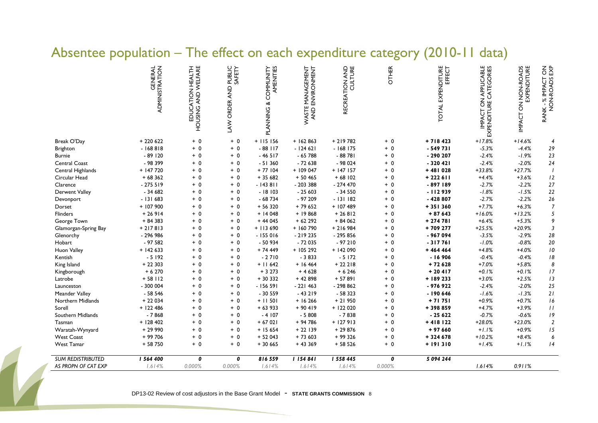#### Absentee population – The effect on each expenditure category (2010-11 data)

|                          | ADMINISTRATUON | HOUSING AND WELFARE<br>EDUCATION HEALTH | PUBLIC<br>SAFETY<br>LAW ORDER AND | PLANNING & COMMUNITY<br>AMENITIES | WASTE MANAGEMENT<br>AND ENVIRONMENT | <b>TON AND</b><br>CULTURE<br><b>RECREATION</b> | <b>OTHER</b> | TOTAL EXPENDITURE<br>EFFECT | IMPACT ON APPLICABLE<br>EXPENDITURE CATEGORIES | IMPACT ON NON-ROADS<br>EXPENDITURE | $\frac{2}{5}$<br>RANK - % IMPACT<br>NON-ROADS |
|--------------------------|----------------|-----------------------------------------|-----------------------------------|-----------------------------------|-------------------------------------|------------------------------------------------|--------------|-----------------------------|------------------------------------------------|------------------------------------|-----------------------------------------------|
| Break O'Day              | $+220622$      | $+ 0$                                   | $+ 0$                             | $+115156$                         | $+ 162863$                          | $+219782$                                      | $+ 0$        | $+718423$                   | $+17.8%$                                       | $+14.6%$                           | 4                                             |
| <b>Brighton</b>          | $-168818$      | $+ 0$                                   | $+ 0$                             | $-88$ $117$                       | $-124621$                           | $-168$ 175                                     | $+ 0$        | $-549731$                   | $-5.3%$                                        | $-4.4%$                            | $29\,$                                        |
| <b>Burnie</b>            | $-89120$       | $+ 0$                                   | $+ 0$                             | $-46517$                          | $-65788$                            | $-88781$                                       | $+ 0$        | $-290207$                   | $-2.4%$                                        | $-1.9%$                            | 23                                            |
| Central Coast            | - 98 399       | $+ 0$                                   | $+ 0$                             | $-51360$                          | $-72638$                            | $-98024$                                       | $+ 0$        | $-320421$                   | $-2.4%$                                        | $-2.0%$                            | 24                                            |
| Central Highlands        | $+ 147720$     | $+ 0$                                   | $+ 0$                             | $+77104$                          | $+109047$                           | $+ 147157$                                     | $+ 0$        | $+481028$                   | $+33.8%$                                       | $+27.7%$                           | $\overline{1}$                                |
| Circular Head            | $+68362$       | $+ 0$                                   | $+ 0$                             | $+35682$                          | $+50465$                            | $+68102$                                       | $+ 0$        | $+222611$                   | $+4.4%$                                        | $+3.6%$                            | 12                                            |
| Clarence                 | $-275519$      | $+ 0$                                   | $+ 0$                             | $-143811$                         | $-203388$                           | $-274470$                                      | $+ 0$        | -897 189                    | $-2.7%$                                        | $-2.2%$                            | $27$                                          |
| Derwent Valley           | $-34682$       | $+ 0$                                   | $+ 0$                             | $-18103$                          | $-25603$                            | $-34550$                                       | $+ 0$        | $-112939$                   | $-1.8%$                                        | $-1.5%$                            | 22                                            |
| Devonport                | $-131683$      | $+ 0$                                   | $+ 0$                             | $-68734$                          | $-97209$                            | $-131182$                                      | $+ 0$        | $-428807$                   | $-2.7%$                                        | $-2.2%$                            | $26\,$                                        |
| Dorset                   | + 107 900      | $+ 0$                                   | $+ 0$                             | $+56320$                          | $+79652$                            | + 107 489                                      | $+ 0$        | $+351360$                   | $+7.7%$                                        | $+6.3%$                            | $\overline{7}$                                |
| <b>Flinders</b>          | $+26914$       | $+ 0$                                   | $+ 0$                             | $+14048$                          | $+19868$                            | $+26812$                                       | $+ 0$        | $+87643$                    | $+16.0%$                                       | $+13.2%$                           | 5                                             |
| George Town              | $+84383$       | $+ 0$                                   | $+ 0$                             | $+44045$                          | $+62292$                            | $+84062$                                       | $+ 0$        | $+274781$                   | $+6.4%$                                        | $+5.3%$                            | 9                                             |
| Glamorgan-Spring Bay     | $+217813$      | $+ 0$                                   | $+ 0$                             | $+$ 113 690                       | $+ 160790$                          | $+216984$                                      | $+ 0$        | +709 277                    | $+25.5%$                                       | $+20.9%$                           | $\mathfrak{Z}$                                |
| Glenorchy                | - 296 986      | $+ 0$                                   | $+ 0$                             | $-155016$                         | $-219235$                           | $-295856$                                      | $+ 0$        | $-967094$                   | $-3.5%$                                        | $-2.9%$                            | $28\,$                                        |
| Hobart                   | $-97582$       | $+ 0$                                   | $+ 0$                             | $-50934$                          | $-72035$                            | $-97210$                                       | $+ 0$        | $-317761$                   | $-1.0%$                                        | $-0.8%$                            | $20\,$                                        |
| Huon Valley              | $+ 142633$     | $+ 0$                                   | $+ 0$                             | $+74449$                          | $+105292$                           | $+$ 142 090                                    | $+ 0$        | $+46444$                    | $+4.8%$                                        | $+4.0%$                            | $\it 10$                                      |
| Kentish                  | $-5192$        | $+ 0$                                   | $+ 0$                             | $-2710$                           | $-3833$                             | $-5172$                                        | $+ 0$        | $-16906$                    | $-0.4%$                                        | $-0.4%$                            | $\sqrt{8}$                                    |
| King Island              | $+22303$       | $+ 0$                                   | $+ 0$                             | $+11642$                          | $+ 16464$                           | $+22218$                                       | $+ 0$        | $+72628$                    | $+7.0%$                                        | $+5.8%$                            | 8                                             |
| Kingborough              | $+6270$        | $+ 0$                                   | $+ 0$                             | $+3273$                           | $+4628$                             | $+ 6246$                                       | $+ 0$        | $+20417$                    | $+0.1%$                                        | $+0.1%$                            | 17                                            |
| Latrobe                  | $+58$ $112$    | $+ 0$                                   | $+ 0$                             | $+30332$                          | + 42 898                            | + 57 891                                       | $+ 0$        | $+189233$                   | $+3.0%$                                        | $+2.5%$                            | 13                                            |
| Launceston               | $-300004$      | $+ 0$                                   | $+ 0$                             | $-156591$                         | $-221463$                           | $-298862$                                      | $+ 0$        | $-976922$                   | $-2.4%$                                        | $-2.0%$                            | 25                                            |
| Meander Valley           | $-58546$       | $+ 0$                                   | $+ 0$                             | $-30559$                          | $-43219$                            | $-58323$                                       | $+ 0$        | $-190646$                   | $-1.6%$                                        | $-1.3%$                            | $21$                                          |
| Northern Midlands        | $+22034$       | $+ 0$                                   | $+ 0$                             | $+11501$                          | $+16266$                            | $+21950$                                       | $+ 0$        | $+71751$                    | $+0.9%$                                        | $+0.7%$                            | $\sqrt{6}$                                    |
| Sorell                   | $+ 122486$     | $+ 0$                                   | $+ 0$                             | $+63933$                          | $+90419$                            | $+ 122020$                                     | $+ 0$        | +398859                     | $+4.7%$                                        | $+3.9%$                            | $\frac{1}{2}$                                 |
| Southern Midlands        | $-7868$        | $+ 0$                                   | $+ 0$                             | $-4107$                           | $-5808$                             | $-7838$                                        | $+ 0$        | $-25622$                    | $-0.7%$                                        | $-0.6%$                            | $\sqrt{9}$                                    |
| Tasman                   | $+ 128402$     | $+ 0$                                   | $+ 0$                             | $+67021$                          | + 94 786                            | $+ 127913$                                     | $+ 0$        | $+418122$                   | $+28.0%$                                       | $+23.0%$                           | $\sqrt{2}$                                    |
| Waratah-Wynyard          | $+2990$        | $+ 0$                                   | $+ 0$                             | $+15654$                          | $+22139$                            | $+29876$                                       | $+ 0$        | $+97660$                    | $+1.1%$                                        | $+0.9%$                            | $15\,$                                        |
| <b>West Coast</b>        | $+99706$       | $+ 0$                                   | $+ 0$                             | $+52043$                          | $+73603$                            | $+99326$                                       | $+ 0$        | $+324678$                   | $+10.2%$                                       | $+8.4%$                            | 6                                             |
| <b>West Tamar</b>        | $+58750$       | $+ 0$                                   | $+ 0$                             | $+30665$                          | $+43369$                            | $+58526$                                       | $+ 0$        | $+ 191310$                  | $+1.4%$                                        | $+1.1%$                            | 4                                             |
| <b>SUM REDISTRIBUTED</b> | 564 400        | 0                                       | 0                                 | 816 559                           | 154 841                             | 1 558 445                                      | 0            | 5 094 244                   |                                                |                                    |                                               |
| AS PROPN OF CAT EXP      | 1.614%         | 0.000%                                  | 0.000%                            | 1.614%                            | 1.614%                              | 1.614%                                         | 0.000%       |                             | 1.614%                                         | 0.911%                             |                                               |

DP13-02 Review of cost adjustors in the Base Grant Model - STATE GRANTS COMMISSION 8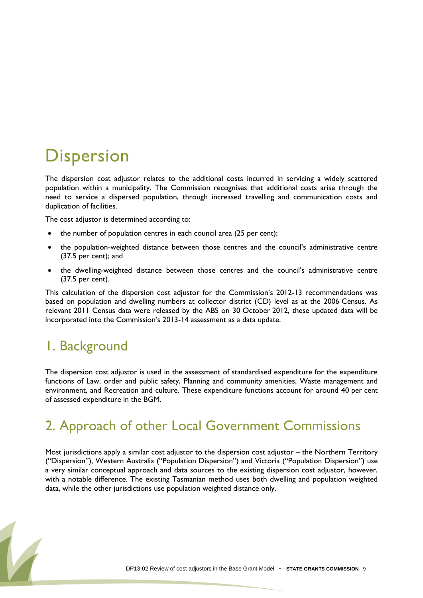## <span id="page-8-0"></span>**Dispersion**

The dispersion cost adjustor relates to the additional costs incurred in servicing a widely scattered population within a municipality. The Commission recognises that additional costs arise through the need to service a dispersed population, through increased travelling and communication costs and duplication of facilities.

The cost adjustor is determined according to:

- the number of population centres in each council area (25 per cent);
- the population-weighted distance between those centres and the council"s administrative centre (37.5 per cent); and
- the dwelling-weighted distance between those centres and the council"s administrative centre (37.5 per cent).

This calculation of the dispersion cost adjustor for the Commission's 2012-13 recommendations was based on population and dwelling numbers at collector district (CD) level as at the 2006 Census. As relevant 2011 Census data were released by the ABS on 30 October 2012, these updated data will be incorporated into the Commission's 2013-14 assessment as a data update.

### 1. Background

The dispersion cost adjustor is used in the assessment of standardised expenditure for the expenditure functions of Law, order and public safety, Planning and community amenities, Waste management and environment, and Recreation and culture. These expenditure functions account for around 40 per cent of assessed expenditure in the BGM.

#### 2. Approach of other Local Government Commissions

Most jurisdictions apply a similar cost adjustor to the dispersion cost adjustor – the Northern Territory ("Dispersion"), Western Australia ("Population Dispersion") and Victoria ("Population Dispersion") use a very similar conceptual approach and data sources to the existing dispersion cost adjustor, however, with a notable difference. The existing Tasmanian method uses both dwelling and population weighted data, while the other jurisdictions use population weighted distance only.

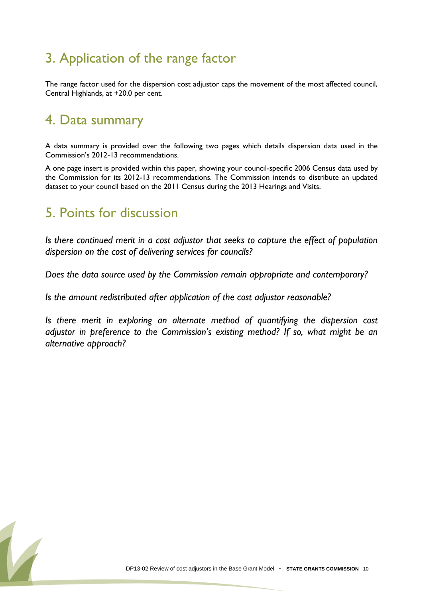### 3. Application of the range factor

The range factor used for the dispersion cost adjustor caps the movement of the most affected council, Central Highlands, at +20.0 per cent.

#### 4. Data summary

A data summary is provided over the following two pages which details dispersion data used in the Commission"s 2012-13 recommendations.

A one page insert is provided within this paper, showing your council-specific 2006 Census data used by the Commission for its 2012-13 recommendations. The Commission intends to distribute an updated dataset to your council based on the 2011 Census during the 2013 Hearings and Visits.

#### 5. Points for discussion

*Is there continued merit in a cost adjustor that seeks to capture the effect of population dispersion on the cost of delivering services for councils?*

*Does the data source used by the Commission remain appropriate and contemporary?*

*Is the amount redistributed after application of the cost adjustor reasonable?*

*Is there merit in exploring an alternate method of quantifying the dispersion cost adjustor in preference to the Commission's existing method? If so, what might be an alternative approach?*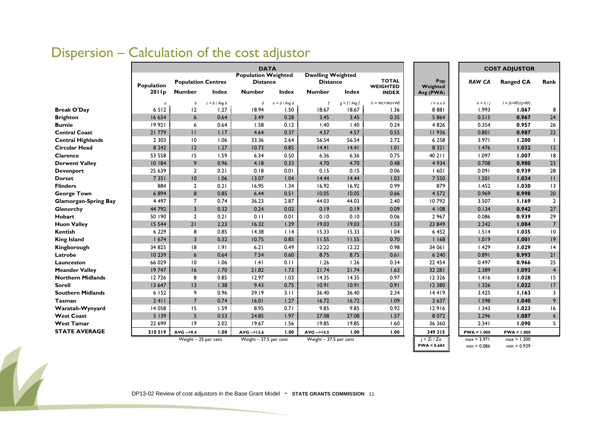|                             |            |                           |                 | <b>DATA</b>                                   |                 |                                             |                 |                                 |                                            |                                | <b>COST ADJUSTOR</b>           |                  |
|-----------------------------|------------|---------------------------|-----------------|-----------------------------------------------|-----------------|---------------------------------------------|-----------------|---------------------------------|--------------------------------------------|--------------------------------|--------------------------------|------------------|
|                             | Population | <b>Population Centres</b> |                 | <b>Population Weighted</b><br><b>Distance</b> |                 | <b>Dwelling Weighted</b><br><b>Distance</b> |                 | <b>TOTAL</b><br><b>WEIGHTED</b> | Pop<br>Weighted                            | <b>RAW CA</b>                  | <b>Ranged CA</b>               | Rank             |
|                             | 2011p      | <b>Number</b>             | Index           | <b>Number</b>                                 | Index           | <b>Number</b>                               | Index           | <b>INDEX</b>                    | Avg (PWA)                                  |                                |                                |                  |
|                             | $\sigma$   | b                         | $c = b / Avg b$ | d                                             | $e = d / Avg d$ |                                             | $g = f / Avg f$ | $h = Wc+We+Wf$                  | $i = a \times h$                           | $k = h / j$                    | $I = (h+RF)/(j+RF)$            |                  |
| <b>Break O'Day</b>          | 6512       | 12                        | 1.27            | 18.94                                         | 1.50            | 18.67                                       | 18.67           | 1.36                            | 8881                                       | 1.993                          | 1.067                          | 8                |
| <b>Brighton</b>             | 16 654     | 6                         | 0.64            | 3.49                                          | 0.28            | 3.45                                        | 3.45            | 0.35                            | 5 8 6 4                                    | 0.515                          | 0.967                          | 24               |
| <b>Burnie</b>               | 19 921     | 6                         | 0.64            | 1.58                                          | 0.12            | 1.40                                        | 1.40            | 0.24                            | 4 8 2 6                                    | 0.354                          | 0.957                          | 26               |
| <b>Central Coast</b>        | 21 779     | $\mathbf{H}$              | 1.17            | 4.64                                          | 0.37            | 4.57                                        | 4.57            | 0.55                            | 11936                                      | 0.801                          | 0.987                          | 22               |
| <b>Central Highlands</b>    | 2 3 0 3    | 10                        | 1.06            | 33.36                                         | 2.64            | 56.54                                       | 56.54           | 2.72                            | 6 2 5 8                                    | 3.971                          | 1.200                          |                  |
| <b>Circular Head</b>        | 8 2 4 2    | 12                        | 1.27            | 10.73                                         | 0.85            | 14.41                                       | 14.41           | 1.01                            | 8 3 2 1                                    | 1.476                          | 1.032                          | 12               |
| <b>Clarence</b>             | 53 558     | 15                        | 1.59            | 6.34                                          | 0.50            | 6.36                                        | 6.36            | 0.75                            | 40 2 1 1                                   | 1.097                          | 1.007                          | 8                |
| <b>Derwent Valley</b>       | 10 184     | 9                         | 0.96            | 4.18                                          | 0.33            | 4.70                                        | 4.70            | 0.48                            | 4 9 3 4                                    | 0.708                          | 0.980                          | 23               |
| <b>Devonport</b>            | 25 639     | $\overline{2}$            | 0.21            | 0.18                                          | 0.01            | 0.15                                        | 0.15            | 0.06                            | 60                                         | 0.091                          | 0.939                          | 28               |
| <b>Dorset</b>               | 7 3 5 1    | 10                        | 1.06            | 13.07                                         | 1.04            | 14.44                                       | 14.44           | 1.03                            | 7 5 5 0                                    | 1.501                          | 1.034                          | $\mathbf{H}$     |
| <b>Flinders</b>             | 884        | $\overline{2}$            | 0.21            | 16.95                                         | 1.34            | 16.92                                       | 16.92           | 0.99                            | 879                                        | 1.452                          | 1.030                          | 13               |
| <b>George Town</b>          | 6894       | 8                         | 0.85            | 6.44                                          | 0.51            | 10.05                                       | 10.05           | 0.66                            | 4 5 7 2                                    | 0.969                          | 0.998                          | 20               |
| <b>Glamorgan-Spring Bay</b> | 4 4 9 7    | $\overline{7}$            | 0.74            | 36.23                                         | 2.87            | 44.03                                       | 44.03           | 2.40                            | 10792                                      | 3.507                          | 1.169                          | $\overline{2}$   |
| Glenorchy                   | 44 792     | $\overline{3}$            | 0.32            | 0.24                                          | 0.02            | 0.19                                        | 0.19            | 0.09                            | 4 108                                      | 0.134                          | 0.942                          | 27               |
| <b>Hobart</b>               | 50 190     | $\overline{2}$            | 0.21            | 0.11                                          | 0.01            | 0.10                                        | 0.10            | 0.06                            | 2 9 6 7                                    | 0.086                          | 0.939                          | 29               |
| <b>Huon Valley</b>          | 15 5 44    | 21                        | 2.23            | 16.32                                         | 1.29            | 19.03                                       | 19.03           | 1.53                            | 23 849                                     | 2.242                          | 1.084                          | $\overline{7}$   |
| <b>Kentish</b>              | 6 2 2 9    | 8                         | 0.85            | 14.38                                         | 1.14            | 15.33                                       | 15.33           | 1.04                            | 6 4 5 2                                    | 1.514                          | 1.035                          | 10               |
| <b>King Island</b>          | 1674       | $\overline{3}$            | 0.32            | 10.75                                         | 0.85            | 11.55                                       | 11.55           | 0.70                            | 1168                                       | 1.019                          | 1.001                          | 9                |
| Kingborough                 | 34 825     | 18                        | 1.91            | 6.21                                          | 0.49            | 12.22                                       | 12.22           | 0.98                            | 34 06 1                                    | 1.429                          | 1.029                          | 4                |
| Latrobe                     | 10 239     | 6                         | 0.64            | 7.54                                          | 0.60            | 8.75                                        | 8.75            | 0.61                            | 6 2 4 0                                    | 0.891                          | 0.993                          | 21               |
| Launceston                  | 66 029     | 10                        | 1.06            | .4                                            | 0.11            | 1.26                                        | 1.26            | 0.34                            | 22 4 54                                    | 0.497                          | 0.966                          | 25               |
| <b>Meander Valley</b>       | 19747      | 16                        | 1.70            | 21.82                                         | 1.73            | 21.74                                       | 21.74           | 1.63                            | 32 28 1                                    | 2.389                          | 1.093                          | $\overline{4}$   |
| <b>Northern Midlands</b>    | 12726      | 8                         | 0.85            | 12.97                                         | 1.03            | 14.35                                       | 14.35           | 0.97                            | 12 3 26                                    | 1.416                          | 1.028                          | 15               |
| <b>Sorell</b>               | 13 647     | $ 3\rangle$               | 1.38            | 9.43                                          | 0.75            | 10.91                                       | 10.91           | 0.91                            | 12 380                                     | 1.326                          | 1.022                          | 17               |
| <b>Southern Midlands</b>    | 6 152      | 9                         | 0.96            | 39.19                                         | 3.11            | 36.40                                       | 36.40           | 2.34                            | 14419                                      | 3.425                          | 1.163                          | 3                |
| Tasman                      | 2411       | $\overline{7}$            | 0.74            | 16.01                                         | 1.27            | 16.72                                       | 16.72           | 1.09                            | 2 6 3 7                                    | 1.598                          | 1.040                          | 9                |
| Waratah-Wynyard             | 14 0 58    | 15                        | 1.59            | 8.95                                          | 0.71            | 9.85                                        | 9.85            | 0.92                            | 12916                                      | 1.343                          | 1.023                          | 16               |
| <b>West Coast</b>           | 5 1 3 9    | 5                         | 0.53            | 24.85                                         | 1.97            | 27.08                                       | 27.08           | 1.57                            | 8 0 7 2                                    | 2.296                          | 1.087                          | $\boldsymbol{6}$ |
| <b>West Tamar</b>           | 22 699     | $ 9\rangle$               | 2.02            | 19.67                                         | 1.56            | 19.85                                       | 19.85           | 1.60                            | 36 360                                     | 2.341                          | 1.090                          | 5                |
| <b>STATE AVERAGE</b>        | 510519     | AVG -->9.4                | 1.00            | AVG -->12.6                                   | 1.00            | AVG -->14.5                                 | 1.00            | 1.00                            | 349 315                                    | $PWA = 1.000$                  | $PWA = 1.000$                  |                  |
|                             |            | Weight - 25 per cent      |                 | Weight - 37.5 per cent                        |                 | Weight - 37.5 per cent                      |                 |                                 | $i = \Sigma i / \Sigma a$<br>$PWA = 0.684$ | $max = 3.971$<br>$min = 0.086$ | $max = 1.200$<br>$min = 0.939$ |                  |

### Dispersion – Calculation of the cost adjustor

DP13-02 Review of cost adjustors in the Base Grant Model - STATE GRANTS COMMISSION 11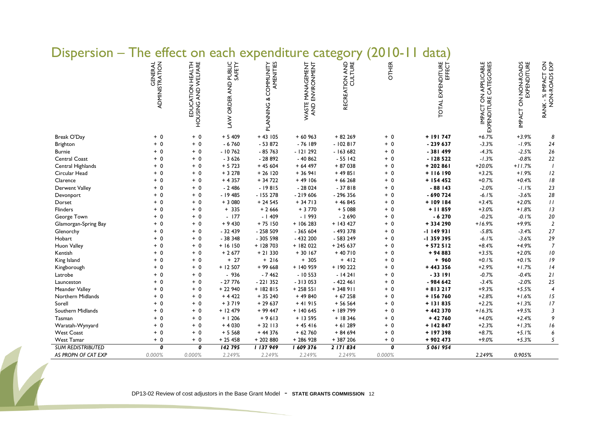| <b>Dispersion</b>        | <b>IIIC</b><br><b>CIICCL</b> |                                                   | <b>UIL CALIT</b>                               | experience                        | C,                                  | Calegor        |              | uata                                  |                                                |                                    |                                               |
|--------------------------|------------------------------|---------------------------------------------------|------------------------------------------------|-----------------------------------|-------------------------------------|----------------|--------------|---------------------------------------|------------------------------------------------|------------------------------------|-----------------------------------------------|
|                          | GENERAL<br>ADMINISTRATION    | AND WELFARE<br>EDUCATION HEALTH<br><b>HOUSING</b> | PUBLIC<br>SAFETY<br>$\frac{D}{A}$<br>LAW ORDER | PLANNING & COMMUNITY<br>AMENITIES | WASTE MANAGEMENT<br>AND ENVIRONMENT | RECREATION AND | <b>OTHER</b> | EXPENDITURE<br>EFFECT<br><b>TOTAL</b> | IMPACT ON APPLICABLE<br>EXPENDITURE CATEGORIES | IMPACT ON NON-ROADS<br>EXPENDITURE | $\frac{2}{5}$<br>RANK - % IMPACT<br>NON-ROADS |
| Break O'Day              | $+ 0$                        | $+ 0$                                             | $+5409$                                        | $+43105$                          | $+60963$                            | $+82269$       | $+ 0$        | $+ 191747$                            | $+6.7%$                                        | $+3.9%$                            | 8                                             |
| Brighton                 | $+ 0$                        | $+0$                                              | $-6760$                                        | $-53872$                          | $-76189$                            | $-102817$      | $+ 0$        | $-239637$                             | $-3.3%$                                        | $-1.9%$                            | 24                                            |
| <b>Burnie</b>            | $+ 0$                        | $+ 0$                                             | $-10762$                                       | $-85763$                          | $-121292$                           | $-163682$      | $+ 0$        | $-381499$                             | $-4.3%$                                        | $-2.5%$                            | $26\,$                                        |
| Central Coast            | $+ 0$                        | $+ 0$                                             | $-3626$                                        | $-28892$                          | $-40862$                            | $-55142$       | $+ 0$        | $-128522$                             | $-1.3%$                                        | $-0.8%$                            | 22                                            |
| Central Highlands        | $+ 0$                        | $+ 0$                                             | $+5723$                                        | $+45604$                          | $+64497$                            | $+87038$       | $+ 0$        | $+202861$                             | $+20.0%$                                       | $+11.7%$                           | $\overline{1}$                                |
| Circular Head            | $+0$                         | $+ 0$                                             | $+3278$                                        | $+26120$                          | $+36941$                            | $+49851$       | $+ 0$        | $+116190$                             | $+3.2%$                                        | $+1.9%$                            | 12                                            |
| Clarence                 | $+ 0$                        | $+ 0$                                             | $+4357$                                        | $+34722$                          | $+49106$                            | $+66268$       | $+ 0$        | $+ 154452$                            | $+0.7%$                                        | $+0.4%$                            | $\sqrt{8}$                                    |
| <b>Derwent Valley</b>    | $+ 0$                        | $+ 0$                                             | $-2.486$                                       | $-19815$                          | $-28024$                            | $-37818$       | $+ 0$        | $-88143$                              | $-2.0%$                                        | $-1.1%$                            | 23                                            |
| Devonport                | $+ 0$                        | $+ 0$                                             | $-19485$                                       | $-155278$                         | $-219606$                           | - 296 356      | $+ 0$        | $-690724$                             | $-6.1%$                                        | $-3.6%$                            | $28\,$                                        |
| Dorset                   | $+ 0$                        | $+ 0$                                             | $+3080$                                        | $+24545$                          | $+34713$                            | $+46845$       | $+ 0$        | +109184                               | $+3.4%$                                        | $+2.0%$                            | $\boldsymbol{H}$                              |
| <b>Flinders</b>          | $+0$                         | $+ 0$                                             | $+ 335$                                        | $+2666$                           | $+3770$                             | $+5088$        | $+ 0$        | $+11859$                              | $+3.0%$                                        | $+1.8%$                            | 13                                            |
| George Town              | $+ 0$                        | $+ 0$                                             | $-177$                                         | $-1409$                           | $-1993$                             | $-2690$        | $+ 0$        | $-6270$                               | $-0.2%$                                        | $-0.1%$                            | $20\,$                                        |
| Glamorgan-Spring Bay     | $+ 0$                        | $+ 0$                                             | $+9430$                                        | $+75150$                          | $+106283$                           | $+ 143427$     | $+ 0$        | +334290                               | $+16.9%$                                       | $+9.9%$                            | $\overline{2}$                                |
| Glenorchy                | $+ 0$                        | $+ 0$                                             | $-32439$                                       | $-258509$                         | $-365604$                           | $-493378$      | $+ 0$        | $-1149931$                            | $-5.8%$                                        | $-3.4%$                            | $27\,$                                        |
| Hobart                   | $+0$                         | $+ 0$                                             | $-38348$                                       | - 305 598                         | $-432200$                           | - 583 249      | $+ 0$        | -1 359 395                            | $-6.1%$                                        | $-3.6%$                            | $29\,$                                        |
| Huon Valley              | $+ 0$                        | $+ 0$                                             | $+16150$                                       | $+ 128703$                        | $+$ 182 022                         | $+245637$      | $+ 0$        | $+572512$                             | $+8.4%$                                        | $+4.9%$                            | $\overline{7}$                                |
| Kentish                  | $+ 0$                        | $+ 0$                                             | $+2677$                                        | $+21330$                          | $+30167$                            | $+40710$       | $+ 0$        | $+94883$                              | $+3.5%$                                        | $+2.0%$                            | $\it 10$                                      |
| King Island              | $+ 0$                        | $+ 0$                                             | $+27$                                          | $+216$                            | $+ 305$                             | $+ 412$        | $+ 0$        | $+960$                                | $+0.1%$                                        | $+0.1%$                            | $\sqrt{9}$                                    |
| Kingborough              | $+0$                         | $+ 0$                                             | $+12507$                                       | $+99668$                          | $+140959$                           | + 190 222      | $+ 0$        | + 443 356                             | $+2.9%$                                        | $+1.7%$                            | $\sqrt{4}$                                    |
| Latrobe                  | $+ 0$                        | $+ 0$                                             | $-936$                                         | $-7462$                           | $-10553$                            | $-14241$       | $+ 0$        | $-33191$                              | $-0.7%$                                        | $-0.4%$                            | 21                                            |
| Launceston               | $+ 0$                        | $+ 0$                                             | $-27776$                                       | $-221352$                         | $-313053$                           | $-422461$      | $+ 0$        | $-984642$                             | $-3.4%$                                        | $-2.0%$                            | 25                                            |
| Meander Valley           | $+ 0$                        | $+ 0$                                             | $+22940$                                       | $+182815$                         | $+25851$                            | $+348911$      | $+ 0$        | $+813217$                             | $+9.3%$                                        | $+5.5%$                            | $\overline{4}$                                |
| Northern Midlands        | $+ 0$                        | $+ 0$                                             | $+4422$                                        | $+35240$                          | $+49840$                            | $+67258$       | $+ 0$        | $+ 156760$                            | $+2.8%$                                        | $+1.6%$                            | 15                                            |
| Sorell                   | $+0$                         | $+ 0$                                             | $+3719$                                        | $+29637$                          | $+41915$                            | $+56564$       | $+ 0$        | $+ 131835$                            | $+2.2%$                                        | $+1.3%$                            | 17                                            |
| Southern Midlands        | $+ 0$                        | $+ 0$                                             | $+ 12479$                                      | $+99447$                          | $+ 140645$                          | + 189 799      | $+ 0$        | $+442370$                             | $+16.3%$                                       | $+9.5%$                            | $\overline{3}$                                |
| Tasman                   | $+ 0$                        | $+ 0$                                             | $+1206$                                        | $+9613$                           | $+13595$                            | $+18346$       | $+ 0$        | $+42760$                              | $+4.0%$                                        | $+2.4%$                            | 9                                             |
| Waratah-Wynyard          | $+ 0$                        | $+ 0$                                             | $+4030$                                        | $+32113$                          | $+45416$                            | $+61289$       | $+ 0$        | $+ 142847$                            | $+2.3%$                                        | $+1.3%$                            | 16                                            |
| <b>West Coast</b>        | $+ 0$                        | $+ 0$                                             | $+5568$                                        | $+44376$                          | $+62760$                            | $+84694$       | $+ 0$        | + 197 398                             | $+8.7%$                                        | $+5.1%$                            | 6                                             |
| <b>West Tamar</b>        | $+ 0$                        | $+ 0$                                             | $+25458$                                       | $+202880$                         | + 286 928                           | $+387206$      | $+ 0$        | $+902473$                             | $+9.0%$                                        | $+5.3%$                            | 5                                             |
| <b>SUM REDISTRIBUTED</b> | 0                            | 0                                                 | 142795                                         | 1137949                           | 1 609 376                           | 2 171 834      | 0            | 5 061 954                             |                                                |                                    |                                               |
| AS PROPN OF CAT EXP      | 0.000%                       | 0.000%                                            | 2.249%                                         | 2.249%                            | 2.249%                              | 2.249%         | 0.000%       |                                       | 2.249%                                         | 0.905%                             |                                               |

#### Dispersion – The effect on each expenditure category (2010-11 data)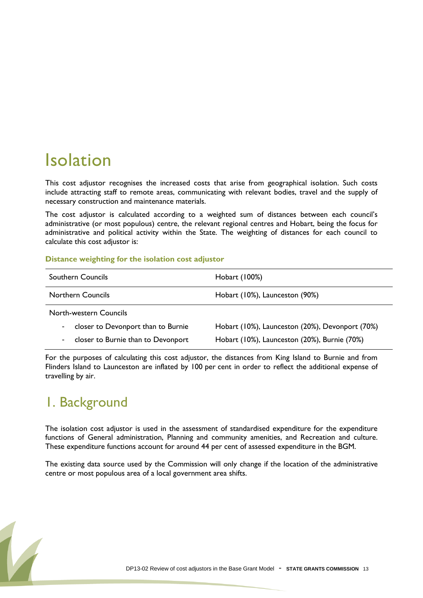## <span id="page-12-0"></span>Isolation

This cost adjustor recognises the increased costs that arise from geographical isolation. Such costs include attracting staff to remote areas, communicating with relevant bodies, travel and the supply of necessary construction and maintenance materials.

The cost adjustor is calculated according to a weighted sum of distances between each council"s administrative (or most populous) centre, the relevant regional centres and Hobart, being the focus for administrative and political activity within the State. The weighting of distances for each council to calculate this cost adjustor is:

#### **Distance weighting for the isolation cost adjustor**

| <b>Southern Councils</b>                 | Hobart (100%)                                   |
|------------------------------------------|-------------------------------------------------|
| <b>Northern Councils</b>                 | Hobart (10%), Launceston (90%)                  |
| North-western Councils                   |                                                 |
| closer to Devonport than to Burnie       | Hobart (10%), Launceston (20%), Devonport (70%) |
| closer to Burnie than to Devonport<br>۰. | Hobart (10%), Launceston (20%), Burnie (70%)    |

For the purposes of calculating this cost adjustor, the distances from King Island to Burnie and from Flinders Island to Launceston are inflated by 100 per cent in order to reflect the additional expense of travelling by air.

### 1. Background

The isolation cost adjustor is used in the assessment of standardised expenditure for the expenditure functions of General administration, Planning and community amenities, and Recreation and culture. These expenditure functions account for around 44 per cent of assessed expenditure in the BGM.

The existing data source used by the Commission will only change if the location of the administrative centre or most populous area of a local government area shifts.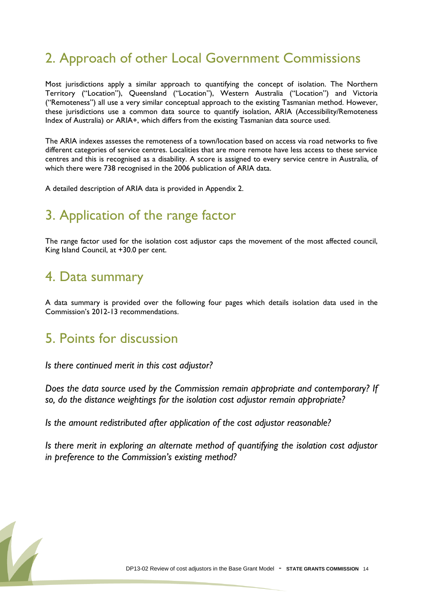### 2. Approach of other Local Government Commissions

Most jurisdictions apply a similar approach to quantifying the concept of isolation. The Northern Territory ("Location"), Queensland ("Location"), Western Australia ("Location") and Victoria ("Remoteness") all use a very similar conceptual approach to the existing Tasmanian method. However, these jurisdictions use a common data source to quantify isolation, ARIA (Accessibility/Remoteness Index of Australia) or ARIA+, which differs from the existing Tasmanian data source used.

The ARIA indexes assesses the remoteness of a town/location based on access via road networks to five different categories of service centres. Localities that are more remote have less access to these service centres and this is recognised as a disability. A score is assigned to every service centre in Australia, of which there were 738 recognised in the 2006 publication of ARIA data.

A detailed description of ARIA data is provided in Appendix 2.

#### 3. Application of the range factor

The range factor used for the isolation cost adjustor caps the movement of the most affected council, King Island Council, at +30.0 per cent.

#### 4. Data summary

A data summary is provided over the following four pages which details isolation data used in the Commission"s 2012-13 recommendations.

#### 5. Points for discussion

*Is there continued merit in this cost adjustor?*

*Does the data source used by the Commission remain appropriate and contemporary? If so, do the distance weightings for the isolation cost adjustor remain appropriate?*

*Is the amount redistributed after application of the cost adjustor reasonable?*

*Is there merit in exploring an alternate method of quantifying the isolation cost adjustor in preference to the Commission's existing method?*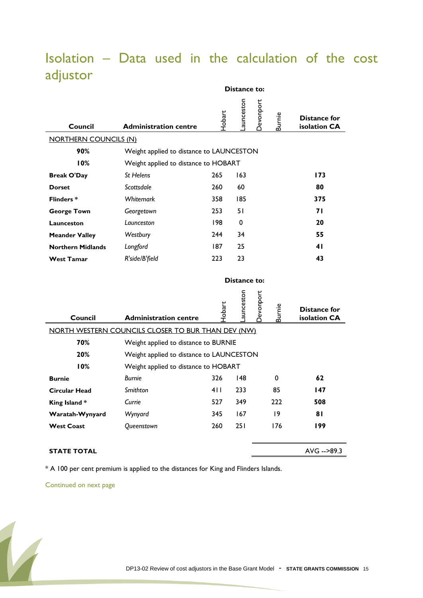|                              |                                                    |               | Distance to: |                  |               |                                     |
|------------------------------|----------------------------------------------------|---------------|--------------|------------------|---------------|-------------------------------------|
| Council                      | <b>Administration centre</b>                       | $\frac{1}{2}$ | aunceston    | Devonport        | Burnie        | Distance for<br>isolation CA        |
| <b>NORTHERN COUNCILS (N)</b> |                                                    |               |              |                  |               |                                     |
| 90%                          | Weight applied to distance to LAUNCESTON           |               |              |                  |               |                                     |
| 10%                          | Weight applied to distance to HOBART               |               |              |                  |               |                                     |
| <b>Break O'Day</b>           | St Helens                                          | 265           | 163          |                  |               | 173                                 |
| <b>Dorset</b>                | Scottsdale                                         | 260           | 60           |                  |               | 80                                  |
| <b>Flinders*</b>             | Whitemark                                          | 358           | 185          |                  |               | 375                                 |
| <b>George Town</b>           | Georgetown                                         | 253           | 51           |                  |               | 71                                  |
| Launceston                   | Launceston                                         | 198           | 0            |                  |               | 20                                  |
| <b>Meander Valley</b>        | Westbury                                           | 244           | 34           |                  |               | 55                                  |
| <b>Northern Midlands</b>     | Longford                                           | 187           | 25           |                  |               | 41                                  |
| <b>West Tamar</b>            | R'side/B'field                                     | 223           | 23           |                  |               | 43                                  |
|                              |                                                    |               |              |                  |               |                                     |
|                              |                                                    |               | Distance to: |                  |               |                                     |
| Council                      | <b>Administration centre</b>                       | Hobart        | aunceston    | <b>Devonport</b> | <b>Burnie</b> | <b>Distance for</b><br>isolation CA |
|                              | NORTH WESTERN COUNCILS CLOSER TO BUR THAN DEV (NW) |               |              |                  |               |                                     |
| 70%                          | Weight applied to distance to BURNIE               |               |              |                  |               |                                     |
| 20%                          | Weight applied to distance to LAUNCESTON           |               |              |                  |               |                                     |
| 10%                          | Weight applied to distance to HOBART               |               |              |                  |               |                                     |
| <b>Burnie</b>                | <b>Burnie</b>                                      | 326           | 148          |                  | 0             | 62                                  |
| Circular Head                | Smithton                                           | 4 I I         | 233          |                  | 85            | 147                                 |
| King Island*                 | Currie                                             | 527           | 349          |                  | 222           | 508                                 |
| Waratah-Wynyard              | Wynyard                                            | 345           | 167          |                  | 19            | 81                                  |
| <b>West Coast</b>            | Queenstown                                         | 260           | 251          |                  | 176           | 199                                 |
|                              |                                                    |               |              |                  |               |                                     |

#### Isolation – Data used in the calculation of the cost adjustor

**STATE TOTAL** AVG -->89.3

\* A 100 per cent premium is applied to the distances for King and Flinders Islands.

Continued on next page

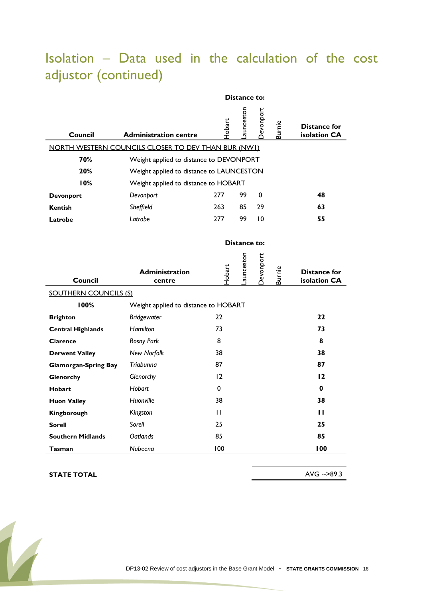### Isolation – Data used in the calculation of the cost adjustor (continued)

|                              | Distance to:                                        |        |              |           |               |                              |  |  |  |  |  |
|------------------------------|-----------------------------------------------------|--------|--------------|-----------|---------------|------------------------------|--|--|--|--|--|
| Council                      | <b>Administration centre</b>                        | Hobart | aunceston    | Jevonport | <b>Burnie</b> | Distance for<br>isolation CA |  |  |  |  |  |
|                              | NORTH WESTERN COUNCILS CLOSER TO DEV THAN BUR (NWI) |        |              |           |               |                              |  |  |  |  |  |
| 70%                          | Weight applied to distance to DEVONPORT             |        |              |           |               |                              |  |  |  |  |  |
| 20%                          | Weight applied to distance to LAUNCESTON            |        |              |           |               |                              |  |  |  |  |  |
| 10%                          | Weight applied to distance to HOBART                |        |              |           |               |                              |  |  |  |  |  |
| <b>Devonport</b>             | Devonport                                           | 277    | 99           | 0         |               | 48                           |  |  |  |  |  |
| <b>Kentish</b>               | Sheffield                                           | 263    | 85           | 29        |               | 63                           |  |  |  |  |  |
| Latrobe                      | Latrobe                                             | 277    | 99           | 10        |               | 55                           |  |  |  |  |  |
|                              |                                                     |        |              |           |               |                              |  |  |  |  |  |
|                              |                                                     |        | Distance to: |           |               |                              |  |  |  |  |  |
|                              | <b>Administration</b>                               | Hobart | aunceston    | Devonport | <b>Burnie</b> | <b>Distance for</b>          |  |  |  |  |  |
| <b>Council</b>               | centre                                              |        |              |           |               | isolation CA                 |  |  |  |  |  |
| <b>SOUTHERN COUNCILS (S)</b> |                                                     |        |              |           |               |                              |  |  |  |  |  |
| 100%                         | Weight applied to distance to HOBART                |        |              |           |               |                              |  |  |  |  |  |
| <b>Brighton</b>              | <b>Bridgewater</b>                                  | 22     |              |           |               | 22                           |  |  |  |  |  |
| <b>Central Highlands</b>     | <b>Hamilton</b>                                     | 73     |              |           |               | 73                           |  |  |  |  |  |
| Clarence                     | <b>Rosny Park</b>                                   | 8      |              |           |               | 8                            |  |  |  |  |  |
| <b>Derwent Valley</b>        | New Norfolk                                         | 38     |              |           |               | 38                           |  |  |  |  |  |
| <b>Glamorgan-Spring Bay</b>  | Triabunna                                           | 87     |              |           |               | 87                           |  |  |  |  |  |
| Glenorchy                    | Glenorchy                                           | 12     |              |           |               | 12                           |  |  |  |  |  |
| <b>Hobart</b>                | Hobart                                              | 0      |              |           |               | 0                            |  |  |  |  |  |
| <b>Huon Valley</b>           | Huonville                                           | 38     |              |           |               | 38                           |  |  |  |  |  |
| Kingborough                  | Kingston                                            | П      |              |           |               | п                            |  |  |  |  |  |
| Sorell                       | Sorell                                              | 25     |              |           |               | 25                           |  |  |  |  |  |
| <b>Southern Midlands</b>     | <b>Oatlands</b>                                     | 85     |              |           |               | 85                           |  |  |  |  |  |
| Tasman                       | Nubeena                                             | 100    |              |           |               | 100                          |  |  |  |  |  |

#### **STATE TOTAL** AVG -->89.3

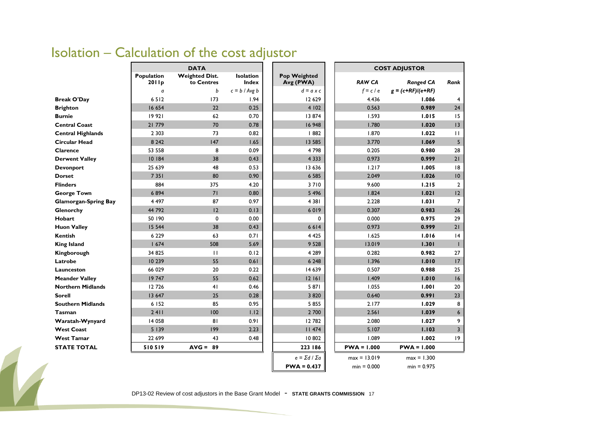### Isolation – Calculation of the cost adjustor

|                             | <b>DATA</b>         |                                     |                                  |                                  | <b>COST ADJUSTOR</b> |                     |                         |  |  |  |
|-----------------------------|---------------------|-------------------------------------|----------------------------------|----------------------------------|----------------------|---------------------|-------------------------|--|--|--|
|                             | Population<br>2011p | <b>Weighted Dist.</b><br>to Centres | <b>Isolation</b><br><b>Index</b> | <b>Pop Weighted</b><br>Avg (PWA) | <b>RAW CA</b>        | <b>Ranged CA</b>    | Rank                    |  |  |  |
|                             | a                   | b                                   | $c = b / Avg b$                  | $d = a \times c$                 | $f = c / e$          | $g = (c+RF)/(e+RF)$ |                         |  |  |  |
| <b>Break O'Day</b>          | 6512                | 173                                 | 1.94                             | 12 629                           | 4.436                | 1.086               | 4                       |  |  |  |
| <b>Brighton</b>             | 16 654              | 22                                  | 0.25                             | 4 102                            | 0.563                | 0.989               | 24                      |  |  |  |
| <b>Burnie</b>               | 19 921              | 62                                  | 0.70                             | 13 874                           | 1.593                | 1.015               | 15                      |  |  |  |
| <b>Central Coast</b>        | 21 779              | 70                                  | 0.78                             | 16 948                           | 1.780                | 1.020               | 3                       |  |  |  |
| <b>Central Highlands</b>    | 2 3 0 3             | 73                                  | 0.82                             | 882                              | 1.870                | 1.022               | $\mathbf{H}$            |  |  |  |
| <b>Circular Head</b>        | 8 2 4 2             | 147                                 | 1.65                             | 13 5 85                          | 3.770                | 1.069               | 5                       |  |  |  |
| Clarence                    | 53 558              | 8                                   | 0.09                             | 4798                             | 0.205                | 0.980               | 28                      |  |  |  |
| <b>Derwent Valley</b>       | 10 184              | 38                                  | 0.43                             | 4 3 3 3                          | 0.973                | 0.999               | 21                      |  |  |  |
| <b>Devonport</b>            | 25 639              | 48                                  | 0.53                             | 13 636                           | 1.217                | 1.005               | 8                       |  |  |  |
| <b>Dorset</b>               | 7 3 5 1             | 80                                  | 0.90                             | 6 5 8 5                          | 2.049                | 1.026               | $\overline{0}$          |  |  |  |
| <b>Flinders</b>             | 884                 | 375                                 | 4.20                             | 3710                             | 9.600                | 1.215               | $\overline{2}$          |  |  |  |
| <b>George Town</b>          | 6894                | 71                                  | 0.80                             | 5 4 9 6                          | 1.824                | 1.021               | 12                      |  |  |  |
| <b>Glamorgan-Spring Bay</b> | 4 4 9 7             | 87                                  | 0.97                             | 4 3 8 1                          | 2.228                | 1.031               | $\overline{7}$          |  |  |  |
| Glenorchy                   | 44 792              | 12                                  | 0.13                             | 6019                             | 0.307                | 0.983               | 26                      |  |  |  |
| <b>Hobart</b>               | 50 190              | $\mathbf 0$                         | 0.00                             | 0                                | 0.000                | 0.975               | 29                      |  |  |  |
| <b>Huon Valley</b>          | 15 5 44             | 38                                  | 0.43                             | 6614                             | 0.973                | 0.999               | 21                      |  |  |  |
| Kentish                     | 6 2 2 9             | 63                                  | 0.71                             | 4 4 2 5                          | 1.625                | 1.016               | 4                       |  |  |  |
| <b>King Island</b>          | 1674                | 508                                 | 5.69                             | 9 5 28                           | 13.019               | 1.301               |                         |  |  |  |
| Kingborough                 | 34825               | $\mathbf{H}$                        | 0.12                             | 4 2 8 9                          | 0.282                | 0.982               | 27                      |  |  |  |
| Latrobe                     | 10 239              | 55                                  | 0.61                             | 6 2 4 8                          | 1.396                | 1.010               | 17                      |  |  |  |
| Launceston                  | 66 029              | 20                                  | 0.22                             | 14 639                           | 0.507                | 0.988               | 25                      |  |  |  |
| <b>Meander Valley</b>       | 19747               | 55                                  | 0.62                             | 12161                            | 1.409                | 1.010               | 16                      |  |  |  |
| <b>Northern Midlands</b>    | 12726               | 41                                  | 0.46                             | 5 871                            | 1.055                | 1.001               | 20                      |  |  |  |
| <b>Sorell</b>               | 13 647              | 25                                  | 0.28                             | 3 8 20                           | 0.640                | 0.991               | 23                      |  |  |  |
| <b>Southern Midlands</b>    | 6 152               | 85                                  | 0.95                             | 5855                             | 2.177                | 1.029               | 8                       |  |  |  |
| <b>Tasman</b>               | 2411                | 100                                 | 1.12                             | 2 700                            | 2.561                | 1.039               | $\boldsymbol{6}$        |  |  |  |
| Waratah-Wynyard             | 14 058              | 81                                  | 0.91                             | 12782                            | 2.080                | 1.027               | 9                       |  |  |  |
| <b>West Coast</b>           | 5139                | 199                                 | 2.23                             | 11474                            | 5.107                | 1.103               | $\overline{\mathbf{3}}$ |  |  |  |
| <b>West Tamar</b>           | 22 699              | 43                                  | 0.48                             | 10802                            | 1.089                | 1.002               | 19                      |  |  |  |
| <b>STATE TOTAL</b>          | 510519              | $AVG = 89$                          |                                  | 223 186                          | $PWA = 1.000$        | $PWA = 1.000$       |                         |  |  |  |
|                             |                     |                                     |                                  | $e = \Sigma d / \Sigma a$        | $max = 13.019$       | $max = 1.300$       |                         |  |  |  |
|                             |                     |                                     |                                  | $PWA = 0.437$                    | $min = 0.000$        | $min = 0.975$       |                         |  |  |  |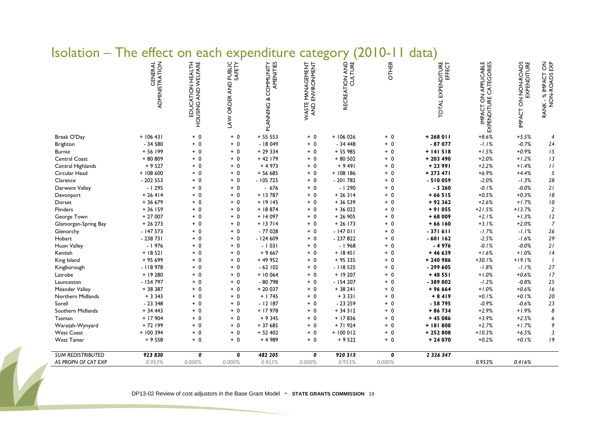| <u>isulatiuit</u><br>___ | 1 I I C<br><b>CIICCL</b>         | VII.                                    |                                   | <b>EXPERIGICAL</b>                | ⊂<br>calegui                        |                |              | uata j                      |                                                |                                              |                                     |
|--------------------------|----------------------------------|-----------------------------------------|-----------------------------------|-----------------------------------|-------------------------------------|----------------|--------------|-----------------------------|------------------------------------------------|----------------------------------------------|-------------------------------------|
|                          | GENERAL<br><b>ADMINISTRATION</b> | EDUCATION HEALTH<br>HOUSING AND WELFARE | PUBLIC<br>SAFETY<br>LAW ORDER AND | AMENITIES<br>PLANNING & COMMUNITY | WASTE MANAGEMENT<br>AND ENVIRONMENT | RECREATION AND | <b>OTHER</b> | TOTAL EXPENDITURE<br>EFFECT | IMPACT ON APPLICABLE<br>EXPENDITURE CATEGORIES | ON NON-ROADS<br>EXPENDITURE<br><b>IMPACT</b> | RANK - % IMPACT ON<br>NON-ROADS EXP |
| Break O'Day              | $+ 106431$                       | $+ 0$                                   | $+ 0$                             | $+ 5553$                          | $+ 0$                               | $+106026$      | $+ 0$        | $+268$ 011                  | $+8.6%$                                        | $+5.5%$                                      | 4                                   |
| Brighton                 | $-34580$                         | $+ 0$                                   | $+ 0$                             | $-18049$                          | $+ 0$                               | $-34448$       | $+ 0$        | $-87077$                    | $-1.1%$                                        | $-0.7%$                                      | $24\,$                              |
| <b>Burnie</b>            | $+56199$                         | $+ 0$                                   | $+0$                              | $+29334$                          | $+ 0$                               | $+55985$       | $+ 0$        | $+ 141518$                  | $+1.5%$                                        | $+0.9%$                                      | 15                                  |
| Central Coast            | + 80 809                         | $+ 0$                                   | $+ 0$                             | $+42$ 179                         | $+ 0$                               | $+80502$       | $+ 0$        | $+203490$                   | $+2.0%$                                        | $+1.2%$                                      | 13                                  |
| Central Highlands        | $+9527$                          | $+ 0$                                   | $+ 0$                             | $+4973$                           | $+ 0$                               | $+9491$        | $+ 0$        | $+2391$                     | $+2.2%$                                        | $+1.4%$                                      | $\boldsymbol{H}$                    |
| Circular Head            | $+108600$                        | $+ 0$                                   | $+ 0$                             | $+56685$                          | $+ 0$                               | $+108186$      | $+ 0$        | $+273471$                   | $+6.9%$                                        | $+4.4%$                                      | $\sqrt{5}$                          |
| Clarence                 | $-202553$                        | $+ 0$                                   | $+ 0$                             | $-105725$                         | $+ 0$                               | $-201782$      | $+ 0$        | $-510059$                   | $-2.0%$                                        | $-1.3%$                                      | 28                                  |
| <b>Derwent Valley</b>    | $-1295$                          | $+ 0$                                   | $+ 0$                             | $-676$                            | $+ 0$                               | $-1290$        | $+ 0$        | $-3260$                     | $-0.1%$                                        | $-0.0%$                                      | 21                                  |
| Devonport                | $+26414$                         | $+ 0$                                   | $+ 0$                             | $+13787$                          | $+ 0$                               | $+26314$       | $+ 0$        | $+66515$                    | $+0.5%$                                        | $+0.3%$                                      | $\sqrt{8}$                          |
| Dorset                   | $+36679$                         | $+ 0$                                   | $+0$                              | $+19145$                          | $+ 0$                               | $+36539$       | $+ 0$        | $+92362$                    | $+2.6%$                                        | $+1.7%$                                      | $\sqrt{0}$                          |
| Flinders                 | $+36159$                         | $+ 0$                                   | $+ 0$                             | $+18874$                          | $+ 0$                               | $+36022$       | $+ 0$        | $+91055$                    | $+21.5%$                                       | $+13.7%$                                     | $\overline{2}$                      |
| George Town              | $+27007$                         | $+ 0$                                   | $+ 0$                             | $+14097$                          | $+ 0$                               | $+26905$       | $+ 0$        | $+68009$                    | $+2.1%$                                        | $+1.3%$                                      | 12                                  |
| Glamorgan-Spring Bay     | $+26273$                         | $+ 0$                                   | $+ 0$                             | $+13714$                          | $+ 0$                               | $+26$ 173      | $+ 0$        | $+66160$                    | $+3.1%$                                        | $+2.0%$                                      | $\boldsymbol{7}$                    |
| Glenorchy                | $-147573$                        | $+ 0$                                   | $+ 0$                             | $-77028$                          | $+ 0$                               | $-147011$      | $+ 0$        | $-371611$                   | $-1.7%$                                        | $-1.1%$                                      | 26                                  |
| Hobart                   | $-238731$                        | $+ 0$                                   | $+ 0$                             | $-124609$                         | $+ 0$                               | $-237822$      | $+ 0$        | $-601162$                   | $-2.5%$                                        | $-1.6%$                                      | 29                                  |
| Huon Valley              | $-1976$                          | $+ 0$                                   | $+ 0$                             | $-1031$                           | $+ 0$                               | $-1968$        | $+ 0$        | $-4976$                     | $-0.1%$                                        | $-0.0%$                                      | $21$                                |
| Kentish                  | $+18521$                         | $+ 0$                                   | $+0$                              | $+9667$                           | $+ 0$                               | $+ 18451$      | $+ 0$        | $+46639$                    | $+1.6%$                                        | $+1.0%$                                      | 4                                   |
| King Island              | + 95 699                         | $+ 0$                                   | $+ 0$                             | $+49952$                          | $+ 0$                               | $+95335$       | $+ 0$        | + 240 986                   | $+30.1%$                                       | $+19.1%$                                     | $\overline{1}$                      |
| Kingborough              | $-118978$                        | $+ 0$                                   | $+ 0$                             | $-62$ 102                         | $+ 0$                               | $-118525$      | $+ 0$        | $-299605$                   | $-1.8%$                                        | $-1.1%$                                      | $27$                                |
| Latrobe                  | $+19280$                         | $+ 0$                                   | $+ 0$                             | $+10064$                          | $+ 0$                               | $+19207$       | $+ 0$        | $+48551$                    | $+1.0%$                                        | $+0.6%$                                      | 17                                  |
| Launceston               | $-154797$                        | $+ 0$                                   | $+ 0$                             | $-80798$                          | $+ 0$                               | $-154207$      | $+ 0$        | -389802                     | $-1.2%$                                        | $-0.8%$                                      | 25                                  |
| Meander Valley           | + 38 387                         | $+ 0$                                   | $+ 0$                             | $+20037$                          | $+ 0$                               | $+38241$       | $+ 0$        | $+96664$                    | $+1.0%$                                        | $+0.6%$                                      | 16                                  |
| Northern Midlands        | $+3343$                          | $+ 0$                                   | $+ 0$                             | $+ 1745$                          | $+ 0$                               | $+3331$        | $+ 0$        | $+8419$                     | $+0.1%$                                        | $+0.1%$                                      | $20\,$                              |
| Sorell                   | $-23348$                         | $+ 0$                                   | $+ 0$                             | $-12187$                          | $+ 0$                               | $-23259$       | $+ 0$        | $-58795$                    | $-0.9%$                                        | $-0.6%$                                      | 23                                  |
| Southern Midlands        | $+34443$                         | $+ 0$                                   | $+ 0$                             | $+17978$                          | $+ 0$                               | $+34312$       | $+ 0$        | + 86 734                    | $+2.9%$                                        | $+1.9%$                                      | $\pmb{8}$                           |
| Tasman                   | $+17904$                         | $+ 0$                                   | $+ 0$                             | $+9345$                           | $+ 0$                               | $+17836$       | $+ 0$        | $+45086$                    | $+3.9%$                                        | $+2.5%$                                      | 6                                   |
| Waratah-Wynyard          | $+72$ 199                        | $+ 0$                                   | $+ 0$                             | $+37685$                          | $+ 0$                               | $+71924$       | $+ 0$        | +181808                     | $+2.7%$                                        | $+1.7%$                                      | 9                                   |
| <b>West Coast</b>        | $+ 100394$                       | $+ 0$                                   | $+ 0$                             | $+52402$                          | $+ 0$                               | $+100012$      | $+ 0$        | $+252808$                   | $+10.3%$                                       | $+6.5%$                                      | 3                                   |
| <b>West Tamar</b>        | $+9558$                          | $+ 0$                                   | $+ 0$                             | $+4989$                           | $+ 0$                               | $+9522$        | $+ 0$        | $+24070$                    | $+0.2%$                                        | $+0.1%$                                      | 19                                  |
| <b>SUM REDISTRIBUTED</b> | 923 830                          | 0                                       | 0                                 | 482 205                           | 0                                   | 920313         | 0            | 2 3 2 6 3 4 7               |                                                |                                              |                                     |
| AS PROPN OF CAT EXP      | 0.953%                           | 0.000%                                  | 0.000%                            | 0.953%                            | 0.000%                              | 0.953%         | 0.000%       |                             | 0.953%                                         | 0.416%                                       |                                     |

#### Isolation – The effect on each expenditure category (2010-11 data)

DP13-02 Review of cost adjustors in the Base Grant Model - STATE GRANTS COMMISSION 18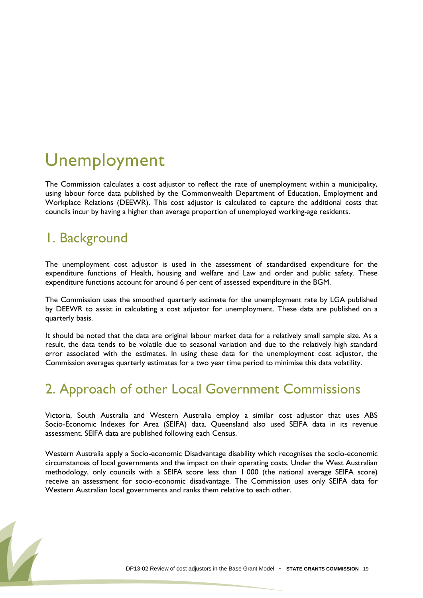## <span id="page-18-0"></span>Unemployment

The Commission calculates a cost adjustor to reflect the rate of unemployment within a municipality, using labour force data published by the Commonwealth Department of Education, Employment and Workplace Relations (DEEWR). This cost adjustor is calculated to capture the additional costs that councils incur by having a higher than average proportion of unemployed working-age residents.

#### 1. Background

The unemployment cost adjustor is used in the assessment of standardised expenditure for the expenditure functions of Health, housing and welfare and Law and order and public safety. These expenditure functions account for around 6 per cent of assessed expenditure in the BGM.

The Commission uses the smoothed quarterly estimate for the unemployment rate by LGA published by DEEWR to assist in calculating a cost adjustor for unemployment. These data are published on a quarterly basis.

It should be noted that the data are original labour market data for a relatively small sample size. As a result, the data tends to be volatile due to seasonal variation and due to the relatively high standard error associated with the estimates. In using these data for the unemployment cost adjustor, the Commission averages quarterly estimates for a two year time period to minimise this data volatility.

#### 2. Approach of other Local Government Commissions

Victoria, South Australia and Western Australia employ a similar cost adjustor that uses ABS Socio-Economic Indexes for Area (SEIFA) data. Queensland also used SEIFA data in its revenue assessment. SEIFA data are published following each Census.

Western Australia apply a Socio-economic Disadvantage disability which recognises the socio-economic circumstances of local governments and the impact on their operating costs. Under the West Australian methodology, only councils with a SEIFA score less than 1 000 (the national average SEIFA score) receive an assessment for socio-economic disadvantage. The Commission uses only SEIFA data for Western Australian local governments and ranks them relative to each other.

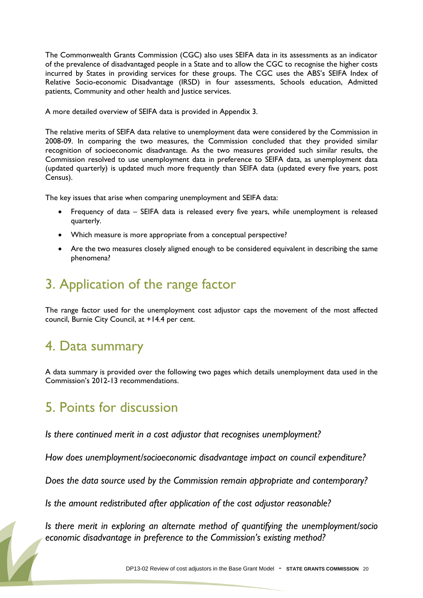The Commonwealth Grants Commission (CGC) also uses SEIFA data in its assessments as an indicator of the prevalence of disadvantaged people in a State and to allow the CGC to recognise the higher costs incurred by States in providing services for these groups. The CGC uses the ABS"s SEIFA Index of Relative Socio-economic Disadvantage (IRSD) in four assessments, Schools education, Admitted patients, Community and other health and Justice services.

A more detailed overview of SEIFA data is provided in Appendix 3.

The relative merits of SEIFA data relative to unemployment data were considered by the Commission in 2008-09. In comparing the two measures, the Commission concluded that they provided similar recognition of socioeconomic disadvantage. As the two measures provided such similar results, the Commission resolved to use unemployment data in preference to SEIFA data, as unemployment data (updated quarterly) is updated much more frequently than SEIFA data (updated every five years, post Census).

The key issues that arise when comparing unemployment and SEIFA data:

- Frequency of data SEIFA data is released every five years, while unemployment is released quarterly.
- Which measure is more appropriate from a conceptual perspective?
- Are the two measures closely aligned enough to be considered equivalent in describing the same phenomena?

#### 3. Application of the range factor

The range factor used for the unemployment cost adjustor caps the movement of the most affected council, Burnie City Council, at +14.4 per cent.

#### 4. Data summary

A data summary is provided over the following two pages which details unemployment data used in the Commission"s 2012-13 recommendations.

#### 5. Points for discussion

*Is there continued merit in a cost adjustor that recognises unemployment?*

*How does unemployment/socioeconomic disadvantage impact on council expenditure?*

*Does the data source used by the Commission remain appropriate and contemporary?*

*Is the amount redistributed after application of the cost adjustor reasonable?*

*Is there merit in exploring an alternate method of quantifying the unemployment/socio economic disadvantage in preference to the Commission's existing method?*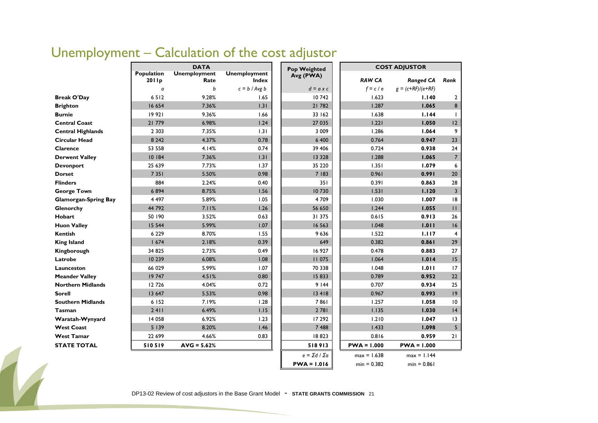|                             |                     | <b>DATA</b>                 |                                     | Pop Weighted              |               | <b>COST ADJUSTOR</b> |                         |
|-----------------------------|---------------------|-----------------------------|-------------------------------------|---------------------------|---------------|----------------------|-------------------------|
|                             | Population<br>2011p | <b>Unemployment</b><br>Rate | <b>Unemployment</b><br><b>Index</b> | Avg (PWA)                 | <b>RAW CA</b> | <b>Ranged CA</b>     | Rank                    |
|                             | a                   | b                           | $c = b / Avg b$                     | $d = a \times c$          | $f = c / e$   | $g = (c+RF)/(e+RF)$  |                         |
| <b>Break O'Day</b>          | 6512                | 9.28%                       | 1.65                                | 10742                     | 1.623         | 1.140                | 2                       |
| <b>Brighton</b>             | 16 654              | 7.36%                       | 1.31                                | 21 782                    | 1.287         | 1.065                | 8                       |
| <b>Burnie</b>               | 19 921              | 9.36%                       | 1.66                                | 33 162                    | 1.638         | 1.144                | T                       |
| <b>Central Coast</b>        | 21779               | 6.98%                       | 1.24                                | 27 035                    | 1.221         | 1.050                | 12                      |
| <b>Central Highlands</b>    | 2 3 0 3             | 7.35%                       | 1.31                                | 3 0 0 9                   | 1.286         | 1.064                | 9                       |
| <b>Circular Head</b>        | 8 2 4 2             | 4.37%                       | 0.78                                | 6 400                     | 0.764         | 0.947                | 23                      |
| Clarence                    | 53 558              | 4.14%                       | 0.74                                | 39 406                    | 0.724         | 0.938                | 24                      |
| <b>Derwent Valley</b>       | 10 184              | 7.36%                       | 1.31                                | 13 3 28                   | 1.288         | 1.065                | $7^{\circ}$             |
| <b>Devonport</b>            | 25 639              | 7.73%                       | 1.37                                | 35 2 20                   | 1.351         | 1.079                | 6                       |
| <b>Dorset</b>               | 7 3 5 1             | 5.50%                       | 0.98                                | 7 183                     | 0.961         | 0.991                | 20                      |
| <b>Flinders</b>             | 884                 | 2.24%                       | 0.40                                | 351                       | 0.391         | 0.863                | 28                      |
| <b>George Town</b>          | 6894                | 8.75%                       | 1.56                                | 10730                     | 1.531         | 1.120                | $\overline{\mathbf{3}}$ |
| <b>Glamorgan-Spring Bay</b> | 4 4 9 7             | 5.89%                       | 1.05                                | 4709                      | 1.030         | 1.007                | 18                      |
| Glenorchy                   | 44 792              | 7.11%                       | 1.26                                | 56 650                    | 1.244         | 1.055                | $\mathbf{H}$            |
| <b>Hobart</b>               | 50 190              | 3.52%                       | 0.63                                | 31 375                    | 0.615         | 0.913                | 26                      |
| <b>Huon Valley</b>          | 15 5 44             | 5.99%                       | 1.07                                | 16 5 63                   | 1.048         | 1.011                | 16                      |
| <b>Kentish</b>              | 6 2 2 9             | 8.70%                       | 1.55                                | 9636                      | 1.522         | 1.117                | 4                       |
| <b>King Island</b>          | 1674                | 2.18%                       | 0.39                                | 649                       | 0.382         | 0.861                | 29                      |
| Kingborough                 | 34 825              | 2.73%                       | 0.49                                | 16 927                    | 0.478         | 0.883                | 27                      |
| Latrobe                     | 10 239              | 6.08%                       | 1.08                                | <b>II 075</b>             | 1.064         | 1.014                | 15                      |
| Launceston                  | 66 029              | 5.99%                       | 1.07                                | 70 338                    | 1.048         | 1.011                | 17                      |
| <b>Meander Valley</b>       | 19747               | 4.51%                       | 0.80                                | 15833                     | 0.789         | 0.952                | 22                      |
| <b>Northern Midlands</b>    | 12726               | 4.04%                       | 0.72                                | 9144                      | 0.707         | 0.934                | 25                      |
| <b>Sorell</b>               | 13 647              | 5.53%                       | 0.98                                | 13 418                    | 0.967         | 0.993                | 9                       |
| <b>Southern Midlands</b>    | 6 152               | 7.19%                       | 1.28                                | 7861                      | 1.257         | 1.058                | 10                      |
| <b>Tasman</b>               | 2411                | 6.49%                       | 1.15                                | 2781                      | 1.135         | 1.030                | 4                       |
| Waratah-Wynyard             | 14 0 58             | 6.92%                       | 1.23                                | 17 29 2                   | 1.210         | 1.047                | 13                      |
| <b>West Coast</b>           | 5139                | 8.20%                       | 1.46                                | 7 4 8 8                   | 1.433         | 1.098                | 5 <sup>5</sup>          |
| <b>West Tamar</b>           | 22 699              | 4.66%                       | 0.83                                | 18823                     | 0.816         | 0.959                | 21                      |
| <b>STATE TOTAL</b>          | 510519              | $AVG = 5.62%$               |                                     | 518913                    | $PWA = 1.000$ | $PWA = 1.000$        |                         |
|                             |                     |                             |                                     | $e = \Sigma d / \Sigma a$ | $max = 1.638$ | $max = 1.144$        |                         |
|                             |                     |                             |                                     | $PWA = 1.016$             | $min = 0.382$ | $min = 0.861$        |                         |

### Unemployment – Calculation of the cost adjustor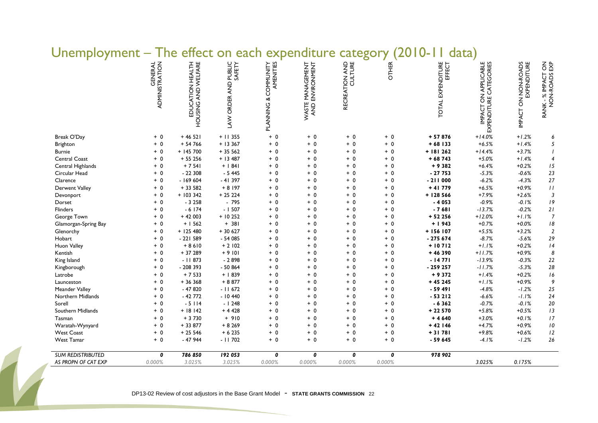|                       | GENERAL<br>ADMINISTRATION | EDUCATION HEALTH<br>HOUSING AND WELFARE | PUBLIC<br>SAFETY<br>LAW ORDER AND | PLANNING & COMMUNITY<br>AMENITIES | : MANAGEMENT<br>ENVIRONMENT<br>WASTE | RECREATION AND | <b>OTHER</b> | EXPENDITURE<br>EFFECT<br><b>TOTAL</b> | IMPACT ON APPLICABLE<br>EXPENDITURE CATEGORIES | IMPACT ON NON-ROADS | RANK - % IMPACT ON<br>NON-ROADS EXP |
|-----------------------|---------------------------|-----------------------------------------|-----------------------------------|-----------------------------------|--------------------------------------|----------------|--------------|---------------------------------------|------------------------------------------------|---------------------|-------------------------------------|
| Break O'Day           | $+ 0$                     | $+46521$                                | $+11355$                          | $+ 0$                             | $+0$                                 | $+ 0$          | $+ 0$        | $+57876$                              | $+14.0%$                                       | $+1.2%$             | 6                                   |
| Brighton              | $+ 0$                     | $+ 54766$                               | $+13367$                          | $+0$                              | $+ 0$                                | $+0$           | $+ 0$        | $+68$ 133                             | $+6.5%$                                        | $+1.4%$             | 5                                   |
| <b>Burnie</b>         | $+ 0$                     | $+ 145700$                              | $+35562$                          | $+ 0$                             | $+0$                                 | $+0$           | $+ 0$        | $+ 181262$                            | $+14.4%$                                       | $+3.7%$             | $\overline{1}$                      |
| Central Coast         | $+0$                      | $+ 55256$                               | $+ 13487$                         | $+ 0$                             | $+0$                                 | $+ 0$          | $+ 0$        | $+68743$                              | $+5.0%$                                        | $+1.4%$             | $\overline{4}$                      |
| Central Highlands     | $+ 0$                     | $+7541$                                 | $+$   84                          | $+ 0$                             | $+ 0$                                | $+ 0$          | $+ 0$        | $+9382$                               | $+6.4%$                                        | $+0.2%$             | $15\,$                              |
| Circular Head         | $+0$                      | $-22308$                                | $-5445$                           | $+ 0$                             | $+ 0$                                | $+ 0$          | $+ 0$        | $-27753$                              | $-5.3%$                                        | $-0.6%$             | 23                                  |
| Clarence              | $+ 0$                     | $-169604$                               | $-41397$                          | $+ 0$                             | $+0$                                 | $+0$           | $+ 0$        | $-211000$                             | $-6.2%$                                        | $-4.3%$             | $27\,$                              |
| Derwent Valley        | $+ 0$                     | $+33582$                                | $+8197$                           | $+ 0$                             | $+ 0$                                | $+ 0$          | $+ 0$        | $+41779$                              | $+6.5%$                                        | $+0.9%$             | $\boldsymbol{H}$                    |
| Devonport             | $+ 0$                     | $+ 1033342$                             | $+25224$                          | $+ 0$                             | $+0$                                 | + 0            | $+ 0$        | $+ 128566$                            | $+7.9%$                                        | $+2.6%$             | $\overline{3}$                      |
| Dorset                | $+ 0$                     | $-3258$                                 | $-795$                            | $+ 0$                             | $+0$                                 | $+ 0$          | $+0$         | $-4053$                               | $-0.9%$                                        | $-0.1%$             | $\sqrt{9}$                          |
| <b>Flinders</b>       | $+ 0$                     | $-6174$                                 | $-1507$                           | $+ 0$                             | $+ 0$                                | $+ 0$          | $+ 0$        | $-7681$                               | $-13.7%$                                       | $-0.2%$             | 21                                  |
| George Town           | $+ 0$                     | $+42003$                                | $+10252$                          | $+ 0$                             | $+ 0$                                | $+ 0$          | $+ 0$        | $+52256$                              | $+12.0%$                                       | $+1.1%$             | $\overline{7}$                      |
| Glamorgan-Spring Bay  | $+ 0$                     | $+1562$                                 | $+ 381$                           | $+ 0$                             | $+ 0$                                | $+0$           | $+ 0$        | $+1943$                               | $+0.7%$                                        | $+0.0%$             | $\sqrt{8}$                          |
| Glenorchy             | $+ 0$                     | $+ 125480$                              | $+30627$                          | $+ 0$                             | $+0$                                 | $+ 0$          | $+ 0$        | + 156 107                             | $+5.5%$                                        | $+3.2%$             | $\overline{2}$                      |
| Hobart                | $+ 0$                     | $-221589$                               | $-54085$                          | $+ 0$                             | $+0$                                 | $+ 0$          | $+0$         | $-275674$                             | $-8.7%$                                        | $-5.6%$             | $29\,$                              |
| Huon Valley           | $+ 0$                     | $+8610$                                 | $+2102$                           | $+ 0$                             | $+ 0$                                | $+ 0$          | $+ 0$        | $+10712$                              | $+1.1%$                                        | $+0.2%$             | 4                                   |
| Kentish               | $+ 0$                     | + 37 289                                | $+9101$                           | $+ 0$                             | $+ 0$                                | $+ 0$          | $+ 0$        | $+46390$                              | $+11.7%$                                       | $+0.9%$             | $\pmb{8}$                           |
| King Island           | $+ 0$                     | $-11873$                                | $-2898$                           | $+ 0$                             | $+ 0$                                | $+ 0$          | $+ 0$        | $-14771$                              | $-13.9%$                                       | $-0.3%$             | 22                                  |
| Kingborough           | $+ 0$                     | - 208 393                               | $-50864$                          | $+ 0$                             | $+0$                                 | $+ 0$          | $+ 0$        | - 259 257                             | $-11.7%$                                       | $-5.3%$             | $28\,$                              |
| Latrobe               | $+ 0$                     | $+7533$                                 | $+1839$                           | $+ 0$                             | $+0$                                 | $+ 0$          | $+0$         | $+9372$                               | $+1.4%$                                        | $+0.2%$             | $\sqrt{6}$                          |
| Launceston            | $+ 0$                     | + 36 368                                | $+8877$                           | $+ 0$                             | $+0$                                 | + 0            | $+ 0$        | $+45245$                              | $+1.1%$                                        | $+0.9%$             | 9                                   |
| <b>Meander Valley</b> | $+ 0$                     | $-47820$                                | $-11672$                          | $+ 0$                             | $+0$                                 | $+ 0$          | $+0$         | $-59491$                              | $-4.8%$                                        | $-1.2%$             | $25\,$                              |
| Northern Midlands     | $+ 0$                     | $-42772$                                | $-10440$                          | $+ 0$                             | $+ 0$                                | $+ 0$          | $+0$         | $-53212$                              | $-6.6%$                                        | $-1.1%$             | $24\,$                              |
| Sorell                | $+ 0$                     | $-5114$                                 | $-1248$                           | $+ 0$                             | $+ 0$                                | $+0$           | $+ 0$        | $-6362$                               | $-0.7%$                                        | $-0.1%$             | 20                                  |
| Southern Midlands     | $+ 0$                     | $+ 18142$                               | $+4428$                           | $+ 0$                             | $+0$                                 | $+0$           | $+ 0$        | + 22 570                              | $+5.8%$                                        | $+0.5%$             | $13\,$                              |
| Tasman                | $+ 0$                     | $+3730$                                 | $+910$                            | $+ 0$                             | $+0$                                 | $+0$           | $+ 0$        | $+4640$                               | $+3.0%$                                        | $+0.1%$             | $\sqrt{7}$                          |
| Waratah-Wynyard       | $+ 0$                     | + 33 877                                | $+8269$                           | $+ 0$                             | $+ 0$                                | $+ 0$          | $+ 0$        | $+42146$                              | $+4.7%$                                        | $+0.9%$             | $\sqrt{2}$                          |
| <b>West Coast</b>     | $+ 0$                     | $+25546$                                | $+ 6235$                          | $+ 0$                             | $+ 0$                                | $+ 0$          | $+ 0$        | $+31781$                              | $+9.8%$                                        | $+0.6%$             | $12\,$                              |
| <b>West Tamar</b>     | $+ 0$                     | $-47944$                                | $-11702$                          | $+ 0$                             | $+ 0$                                | $+ 0$          | $+ 0$        | - 59 645                              | $-4.1%$                                        | $-1.2%$             | 26                                  |
|                       | 0                         | 786 850                                 | 192 053                           | 0                                 | 0                                    | 0              | 0            | 978 902                               |                                                |                     |                                     |

#### $U$  loomployment – The effect on each expenditure category (2010-11 data)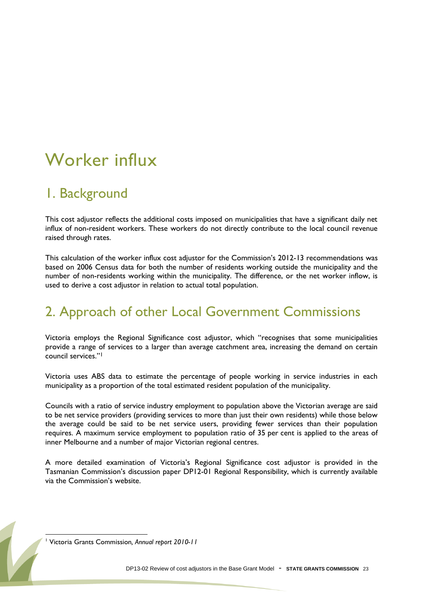## <span id="page-22-0"></span>Worker influx

#### 1. Background

This cost adjustor reflects the additional costs imposed on municipalities that have a significant daily net influx of non-resident workers. These workers do not directly contribute to the local council revenue raised through rates.

This calculation of the worker influx cost adjustor for the Commission's 2012-13 recommendations was based on 2006 Census data for both the number of residents working outside the municipality and the number of non-residents working within the municipality. The difference, or the net worker inflow, is used to derive a cost adjustor in relation to actual total population.

#### 2. Approach of other Local Government Commissions

Victoria employs the Regional Significance cost adjustor, which "recognises that some municipalities provide a range of services to a larger than average catchment area, increasing the demand on certain council services."<sup>1</sup>

Victoria uses ABS data to estimate the percentage of people working in service industries in each municipality as a proportion of the total estimated resident population of the municipality.

Councils with a ratio of service industry employment to population above the Victorian average are said to be net service providers (providing services to more than just their own residents) while those below the average could be said to be net service users, providing fewer services than their population requires. A maximum service employment to population ratio of 35 per cent is applied to the areas of inner Melbourne and a number of major Victorian regional centres.

A more detailed examination of Victoria's Regional Significance cost adjustor is provided in the Tasmanian Commission"s discussion paper DP12-01 Regional Responsibility, which is currently available via the Commission's website.

 $\overline{a}$ 

<sup>1</sup> Victoria Grants Commission*, Annual report 2010-11*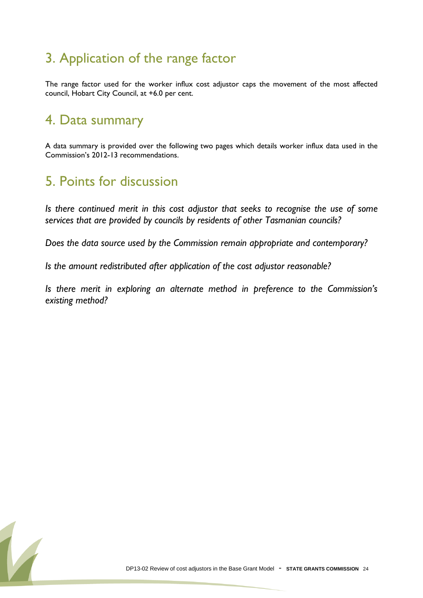### 3. Application of the range factor

The range factor used for the worker influx cost adjustor caps the movement of the most affected council, Hobart City Council, at +6.0 per cent.

#### 4. Data summary

A data summary is provided over the following two pages which details worker influx data used in the Commission"s 2012-13 recommendations.

#### 5. Points for discussion

*Is there continued merit in this cost adjustor that seeks to recognise the use of some services that are provided by councils by residents of other Tasmanian councils?*

*Does the data source used by the Commission remain appropriate and contemporary?*

*Is the amount redistributed after application of the cost adjustor reasonable?*

*Is there merit in exploring an alternate method in preference to the Commission's existing method?*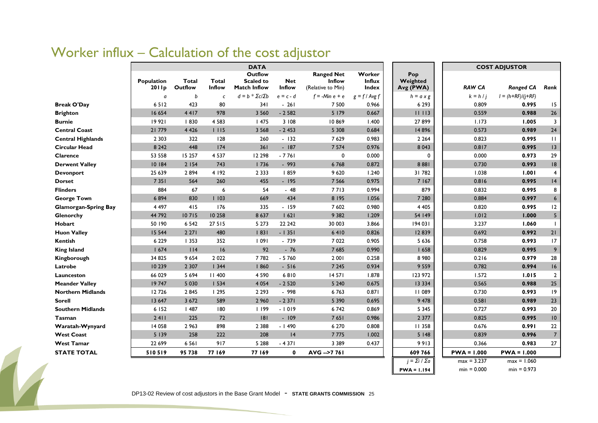#### Worker influx – Calculation of the cost adjustor

|                             | <b>DATA</b>         |                         |                        |                                                           |                      |                                                         |                                         |                              | <b>COST ADJUSTOR</b> |                     |                 |  |
|-----------------------------|---------------------|-------------------------|------------------------|-----------------------------------------------------------|----------------------|---------------------------------------------------------|-----------------------------------------|------------------------------|----------------------|---------------------|-----------------|--|
|                             | Population<br>2011p | <b>Total</b><br>Outflow | <b>Total</b><br>Inflow | <b>Outflow</b><br><b>Scaled to</b><br><b>Match Inflow</b> | <b>Net</b><br>Inflow | <b>Ranged Net</b><br><b>Inflow</b><br>(Relative to Min) | Worker<br><b>Influx</b><br><b>Index</b> | Pop<br>Weighted<br>Avg (PWA) | <b>RAW CA</b>        | <b>Ranged CA</b>    | Rank            |  |
|                             | a                   | b                       | $\mathsf{C}$           | $d = b * \Sigma c / \Sigma b$                             | $e = c - d$          | $f = -Min e + e$                                        | $g = f / \text{Avg } f$                 | $h = a \times g$             | $k = h/i$            | $I = (h+RF)/(j+RF)$ |                 |  |
| <b>Break O'Day</b>          | 6512                | 423                     | 80                     | 341                                                       | $-261$               | 7 500                                                   | 0.966                                   | 6 2 9 3                      | 0.809                | 0.995               | 15              |  |
| <b>Brighton</b>             | 16 654              | 4417                    | 978                    | 3 5 6 0                                                   | $-2582$              | 5 179                                                   | 0.667                                   | 11113                        | 0.559                | 0.988               | 26              |  |
| <b>Burnie</b>               | 19 921              | 830                     | 4 5 8 3                | 1475                                                      | 3 108                | 10869                                                   | 1.400                                   | 27899                        | 1.173                | 1.005               | 3               |  |
| <b>Central Coast</b>        | 21 779              | 4 4 2 6                 | 1115                   | 3 5 6 8                                                   | $-2453$              | 5 3 0 8                                                 | 0.684                                   | 14 8 96                      | 0.573                | 0.989               | 24              |  |
| <b>Central Highlands</b>    | 2 3 0 3             | 322                     | 128                    | 260                                                       | $-132$               | 7 6 2 9                                                 | 0.983                                   | 2 2 6 4                      | 0.823                | 0.995               | $\mathbf{H}$    |  |
| <b>Circular Head</b>        | 8 2 4 2             | 448                     | 174                    | 361                                                       | $-187$               | 7 5 7 4                                                 | 0.976                                   | 8 0 4 3                      | 0.817                | 0.995               | 13              |  |
| Clarence                    | 53 558              | 15 257                  | 4 5 3 7                | 12 2 98                                                   | $-7761$              | 0                                                       | 0.000                                   | $\Omega$                     | 0.000                | 0.973               | 29              |  |
| <b>Derwent Valley</b>       | 10 184              | 2 1 5 4                 | 743                    | 1736                                                      | $-993$               | 6768                                                    | 0.872                                   | 8881                         | 0.730                | 0.993               | 8               |  |
| <b>Devonport</b>            | 25 639              | 2894                    | 4 192                  | 2 3 3 3                                                   | 859                  | 9 6 20                                                  | 1.240                                   | 31782                        | 1.038                | 1.001               | $\overline{4}$  |  |
| <b>Dorset</b>               | 7 3 5 1             | 564                     | 260                    | 455                                                       | $-195$               | 7 5 6 6                                                 | 0.975                                   | 7 1 6 7                      | 0.816                | 0.995               | 4               |  |
| <b>Flinders</b>             | 884                 | 67                      | 6                      | 54                                                        | $-48$                | 7713                                                    | 0.994                                   | 879                          | 0.832                | 0.995               | 8               |  |
| <b>George Town</b>          | 6894                | 830                     | 1103                   | 669                                                       | 434                  | 8 1 9 5                                                 | 1.056                                   | 7 2 8 0                      | 0.884                | 0.997               | $6\phantom{1}6$ |  |
| <b>Glamorgan-Spring Bay</b> | 4 4 9 7             | 415                     | 176                    | 335                                                       | $-159$               | 7 602                                                   | 0.980                                   | 4 4 0 5                      | 0.820                | 0.995               | 12              |  |
| Glenorchy                   | 44 792              | 10715                   | 10 258                 | 8 6 3 7                                                   | 1621                 | 9 3 8 2                                                 | 1.209                                   | 54 149                       | 1.012                | 1.000               | $\sqrt{5}$      |  |
| Hobart                      | 50 190              | 6 5 4 2                 | 27 515                 | 5 2 7 3                                                   | 22 24 2              | 30 003                                                  | 3.866                                   | 194 031                      | 3.237                | 1.060               | $\mathbf{I}$    |  |
| <b>Huon Valley</b>          | 15 5 44             | 2271                    | 480                    | 1831                                                      | $-1351$              | 6410                                                    | 0.826                                   | 12839                        | 0.692                | 0.992               | 21              |  |
| Kentish                     | 6 2 2 9             | 1353                    | 352                    | 1091                                                      | $-739$               | 7 0 2 2                                                 | 0.905                                   | 5 6 3 6                      | 0.758                | 0.993               | 17              |  |
| <b>King Island</b>          | 1674                | 114                     | 16                     | 92                                                        | $-76$                | 7 6 8 5                                                 | 0.990                                   | 1658                         | 0.829                | 0.995               | 9               |  |
| Kingborough                 | 34 825              | 9 6 5 4                 | 2 0 2 2                | 7782                                                      | $-5760$              | 2 0 0 1                                                 | 0.258                                   | 8 9 8 0                      | 0.216                | 0.979               | 28              |  |
| Latrobe                     | 10 239              | 2 3 0 7                 | 1344                   | 860                                                       | $-516$               | 7 2 4 5                                                 | 0.934                                   | 9 5 5 9                      | 0.782                | 0.994               | 16              |  |
| Launceston                  | 66 029              | 5 6 9 4                 | <b>II 400</b>          | 4 5 9 0                                                   | 6810                 | 14 571                                                  | 1.878                                   | 123 972                      | 1.572                | 1.015               | $\overline{2}$  |  |
| <b>Meander Valley</b>       | 19747               | 5 0 3 0                 | 1534                   | 4 0 5 4                                                   | $-2520$              | 5 2 4 0                                                 | 0.675                                   | 13 3 3 4                     | 0.565                | 0.988               | 25              |  |
| <b>Northern Midlands</b>    | 12726               | 2845                    | 1295                   | 2 2 9 3                                                   | $-998$               | 6763                                                    | 0.871                                   | 11 089                       | 0.730                | 0.993               | 19              |  |
| <b>Sorell</b>               | 13 647              | 3 6 7 2                 | 589                    | 2 9 6 0                                                   | $-2371$              | 5 3 9 0                                                 | 0.695                                   | 9 4 7 8                      | 0.581                | 0.989               | 23              |  |
| <b>Southern Midlands</b>    | 6 152               | 1487                    | 180                    | 1199                                                      | $-1019$              | 6742                                                    | 0.869                                   | 5 3 4 5                      | 0.727                | 0.993               | 20              |  |
| <b>Tasman</b>               | 2411                | 225                     | 72                     | 8                                                         | $-109$               | 7651                                                    | 0.986                                   | 2 3 7 7                      | 0.825                | 0.995               | 10              |  |
| Waratah-Wynyard             | 14 058              | 2 9 63                  | 898                    | 2 3 8 8                                                   | $-1490$              | 6 2 7 0                                                 | 0.808                                   | 11 358                       | 0.676                | 0.991               | 22              |  |
| <b>West Coast</b>           | 5139                | 258                     | 222                    | 208                                                       | 4                    | 7775                                                    | 1.002                                   | 5 1 4 8                      | 0.839                | 0.996               | $\overline{7}$  |  |
| <b>West Tamar</b>           | 22 699              | 6 5 6 1                 | 917                    | 5 2 8 8                                                   | $-4371$              | 3 3 8 9                                                 | 0.437                                   | 9913                         | 0.366                | 0.983               | 27              |  |
| <b>STATE TOTAL</b>          | 510519              | 95 738                  | 77 169                 | 77 169                                                    | $\mathbf 0$          | AVG -- > 77 761                                         |                                         | 609 766                      | $PWA = 1.000$        | $PWA = 1.000$       |                 |  |
|                             |                     |                         |                        |                                                           |                      |                                                         |                                         | $i = \sum i / \sum a$        | $max = 3.237$        | $max = 1.060$       |                 |  |
|                             |                     |                         |                        |                                                           |                      |                                                         |                                         | $PWA = 1.194$                | $min = 0.000$        | $min = 0.973$       |                 |  |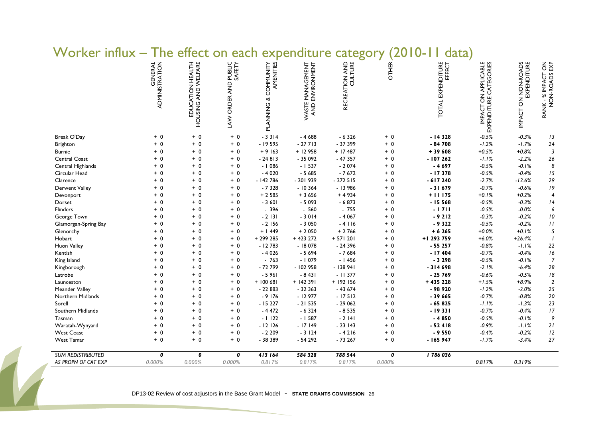| וטרוט<br>$111114 \wedge$ |                           |                                         |                                   |                                                 |                                     |                |              | aaca j                      |                                                |                                    |                                               |
|--------------------------|---------------------------|-----------------------------------------|-----------------------------------|-------------------------------------------------|-------------------------------------|----------------|--------------|-----------------------------|------------------------------------------------|------------------------------------|-----------------------------------------------|
|                          | GENERAL<br>ADMINISTRATION | EDUCATION HEALTH<br>HOUSING AND WELFARE | PUBLIC<br>SAFETY<br>LAW ORDER AND | AMENITIES<br>COMMUNITY<br><b>PLANNING &amp;</b> | WASTE MANAGEMENT<br>AND ENVIRONMENT | RECREATION AND | <b>OTHER</b> | TOTAL EXPENDITURE<br>EFFECT | IMPACT ON APPLICABLE<br>EXPENDITURE CATEGORIES | IMPACT ON NON-ROADS<br>EXPENDITURE | $\frac{2}{3}$<br>RANK - % IMPACT<br>NON-ROADS |
| Break O'Day              | $+0$                      | $+ 0$                                   | $+ 0$                             | $-3314$                                         | $-4688$                             | $-6326$        | $+ 0$        | $-14328$                    | $-0.5%$                                        | $-0.3%$                            | 13                                            |
| Brighton                 | $+ 0$                     | $+ 0$                                   | $+ 0$                             | $-19595$                                        | $-27713$                            | $-37399$       | $+ 0$        | $-84708$                    | $-1.2%$                                        | $-1.7%$                            | 24                                            |
| <b>Burnie</b>            | $+0$                      | $+ 0$                                   | $+ 0$                             | $+9163$                                         | $+12958$                            | $+ 17487$      | $+ 0$        | $+39608$                    | $+0.5%$                                        | $+0.8%$                            | $\overline{3}$                                |
| Central Coast            | $+ 0$                     | $+ 0$                                   | $+ 0$                             | $-24813$                                        | $-35092$                            | $-47357$       | $+ 0$        | $-107262$                   | $-1.1%$                                        | $-2.2%$                            | 26                                            |
| Central Highlands        | $+ 0$                     | $+ 0$                                   | $+ 0$                             | $-1086$                                         | $-1537$                             | $-2074$        | $+ 0$        | $-4697$                     | $-0.5%$                                        | $-0.1%$                            | $\boldsymbol{8}$                              |
| Circular Head            | $+ 0$                     | $+ 0$                                   | $+ 0$                             | $-4020$                                         | $-5685$                             | $-7672$        | $+ 0$        | $-17378$                    | $-0.5%$                                        | $-0.4%$                            | 15                                            |
| Clarence                 | $+ 0$                     | $+ 0$                                   | $+ 0$                             | $-142786$                                       | $-201939$                           | $-272515$      | $+ 0$        | $-617240$                   | $-2.7%$                                        | $-12.6%$                           | 29                                            |
| Derwent Valley           | $+ 0$                     | $+ 0$                                   | $+ 0$                             | $-7328$                                         | $-10364$                            | $-13986$       | $+ 0$        | $-31679$                    | $-0.7%$                                        | $-0.6%$                            | 19                                            |
| Devonport                | $+ 0$                     | $+0$                                    | $+ 0$                             | $+2585$                                         | $+3656$                             | $+4934$        | $+ 0$        | $+11175$                    | $+0.1%$                                        | $+0.2%$                            | $\overline{4}$                                |
| Dorset                   | $+ 0$                     | $+ 0$                                   | $+ 0$                             | $-3601$                                         | $-5093$                             | $-6873$        | $+ 0$        | $-15568$                    | $-0.5%$                                        | $-0.3%$                            | 4                                             |
| Flinders                 | $+ 0$                     | $+0$                                    | $+ 0$                             | $-396$                                          | $-560$                              | $-755$         | $+ 0$        | $-1711$                     | $-0.5%$                                        | $-0.0%$                            | 6                                             |
| George Town              | $+ 0$                     | $+ 0$                                   | $+ 0$                             | $-2131$                                         | $-3014$                             | $-4067$        | $+ 0$        | $-9212$                     | $-0.3%$                                        | $-0.2%$                            | $\it 10$                                      |
| Glamorgan-Spring Bay     | $+ 0$                     | $+ 0$                                   | $+ 0$                             | $-2$ 156                                        | $-3050$                             | $-4116$        | $+ 0$        | $-9322$                     | $-0.5%$                                        | $-0.2%$                            | $\frac{1}{2}$                                 |
| Glenorchy                | $+0$                      | $+ 0$                                   | $+ 0$                             | $+ 1449$                                        | $+2050$                             | $+2766$        | $+ 0$        | $+ 6265$                    | $+0.0%$                                        | $+0.1%$                            | $\sqrt{5}$                                    |
| Hobart                   | $+ 0$                     | $+ 0$                                   | $+ 0$                             | $+299285$                                       | $+423222$                           | $+ 571201$     | $+ 0$        | +1 293 759                  | $+6.0%$                                        | $+26.4%$                           |                                               |
| Huon Valley              | $+ 0$                     | $+ 0$                                   | $+ 0$                             | $-12783$                                        | $-18078$                            | $-24396$       | $+ 0$        | $-55257$                    | $-0.8%$                                        | $-1.1%$                            | $22\,$                                        |
| Kentish                  | $+ 0$                     | $+ 0$                                   | $+ 0$                             | $-4026$                                         | $-5694$                             | $-7684$        | $+ 0$        | $-17404$                    | $-0.7%$                                        | $-0.4%$                            | 16                                            |
| King Island              | $+ 0$                     | $+ 0$                                   | $+ 0$                             | $-763$                                          | $-1079$                             | $-1456$        | $+ 0$        | $-3298$                     | $-0.5%$                                        | $-0.1%$                            | $\overline{7}$                                |
| Kingborough              | $+ 0$                     | $+ 0$                                   | $+ 0$                             | $-72799$                                        | $-102958$                           | $-138941$      | $+ 0$        | $-314698$                   | $-2.1%$                                        | $-6.4%$                            | 28                                            |
| Latrobe                  | $+ 0$                     | $+ 0$                                   | $+ 0$                             | $-5961$                                         | $-8431$                             | $-11377$       | $+ 0$        | $-25769$                    | $-0.6%$                                        | $-0.5%$                            | $\sqrt{8}$                                    |
| Launceston               | $+ 0$                     | $+ 0$                                   | $+ 0$                             | $+100681$                                       | $+ 142391$                          | $+ 192156$     | $+ 0$        | $+435228$                   | $+1.5%$                                        | $+8.9%$                            | $\overline{2}$                                |
| Meander Valley           | $+ 0$                     | $+ 0$                                   | $+ 0$                             | $-22883$                                        | $-32363$                            | $-43674$       | $+ 0$        | $-98920$                    | $-1.2%$                                        | $-2.0%$                            | 25                                            |
| Northern Midlands        | $+ 0$                     | $+ 0$                                   | $+ 0$                             | $-9176$                                         | $-12977$                            | $-17512$       | $+ 0$        | $-39665$                    | $-0.7%$                                        | $-0.8%$                            | 20                                            |
| Sorell                   | $+ 0$                     | $+ 0$                                   | $+ 0$                             | $-15227$                                        | $-21535$                            | $-29062$       | $+ 0$        | $-65825$                    | $-1.1%$                                        | $-1.3%$                            | 23                                            |
| Southern Midlands        | $+ 0$                     | $+ 0$                                   | $+ 0$                             | $-4472$                                         | $-6324$                             | $-8535$        | $+ 0$        | $-19331$                    | $-0.7%$                                        | $-0.4%$                            | 17                                            |
| Tasman                   | $+ 0$                     | $+ 0$                                   | $+ 0$                             | $-1122$                                         | $-1587$                             | $-2$ $ 4 $     | $+ 0$        | $-4850$                     | $-0.5%$                                        | $-0.1%$                            | 9                                             |
| Waratah-Wynyard          | $+ 0$                     | $+ 0$                                   | $+ 0$                             | $-12126$                                        | $-17149$                            | $-23143$       | $+ 0$        | $-52418$                    | $-0.9%$                                        | $-1.1%$                            | $21$                                          |
| <b>West Coast</b>        | $+ 0$                     | $+ 0$                                   | $+ 0$                             | $-2209$                                         | $-3124$                             | $-4216$        | $+ 0$        | $-9550$                     | $-0.4%$                                        | $-0.2%$                            | $12$                                          |
| <b>West Tamar</b>        | $+ 0$                     | $+ 0$                                   | $+ 0$                             | - 38 389                                        | $-54292$                            | $-73267$       | $+ 0$        | $-165947$                   | $-1.7%$                                        | $-3.4%$                            | 27                                            |
| <b>SUM REDISTRIBUTED</b> | 0                         | 0                                       | 0                                 | 413 164                                         | 584 328                             | 788 544        | 0            | 1786036                     |                                                |                                    |                                               |
| AS PROPN OF CAT EXP      | 0.000%                    | 0.000%                                  | 0.000%                            | 0.817%                                          | 0.817%                              | 0.817%         | 0.000%       |                             | 0.817%                                         | 0.319%                             |                                               |

#### Worker influx – The effect on each expenditure category (2010-11 data)

DP13-02 Review of cost adjustors in the Base Grant Model - **STATE GRANTS COMMISSION**<sup>26</sup>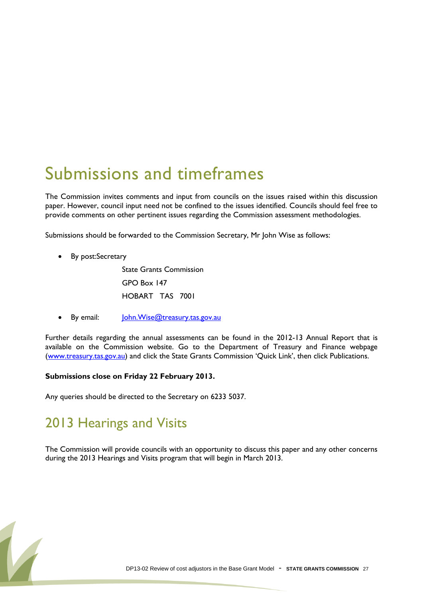## <span id="page-26-0"></span>Submissions and timeframes

The Commission invites comments and input from councils on the issues raised within this discussion paper. However, council input need not be confined to the issues identified. Councils should feel free to provide comments on other pertinent issues regarding the Commission assessment methodologies.

Submissions should be forwarded to the Commission Secretary, Mr John Wise as follows:

By post:Secretary

State Grants Commission GPO Box 147 HOBART TAS 7001

By email: [John.Wise@treasury.tas.gov.au](mailto:John.Wise@treasury.tas.gov.au)

Further details regarding the annual assessments can be found in the 2012-13 Annual Report that is available on the Commission website. Go to the Department of Treasury and Finance webpage [\(www.treasury.tas.gov.au](http://www.treasury.tas.gov.au/)) and click the State Grants Commission 'Quick Link', then click Publications.

#### **Submissions close on Friday 22 February 2013.**

Any queries should be directed to the Secretary on 6233 5037.

#### 2013 Hearings and Visits

The Commission will provide councils with an opportunity to discuss this paper and any other concerns during the 2013 Hearings and Visits program that will begin in March 2013.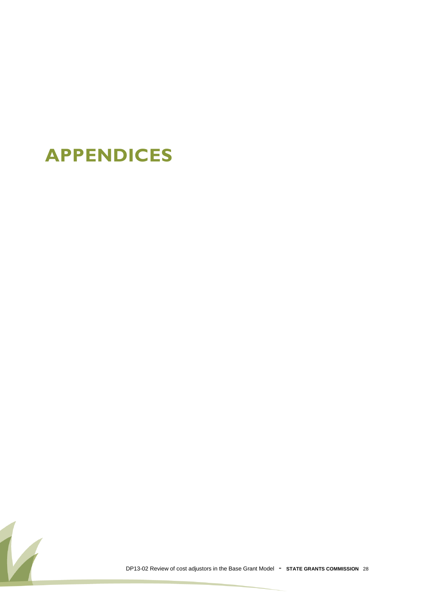## **APPENDICES**

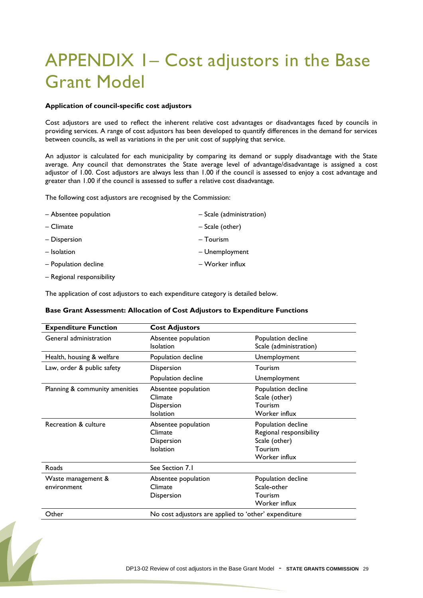## APPENDIX 1– Cost adjustors in the Base Grant Model

#### **Application of council-specific cost adjustors**

Cost adjustors are used to reflect the inherent relative cost advantages or disadvantages faced by councils in providing services. A range of cost adjustors has been developed to quantify differences in the demand for services between councils, as well as variations in the per unit cost of supplying that service.

An adjustor is calculated for each municipality by comparing its demand or supply disadvantage with the State average. Any council that demonstrates the State average level of advantage/disadvantage is assigned a cost adjustor of 1.00. Cost adjustors are always less than 1.00 if the council is assessed to enjoy a cost advantage and greater than 1.00 if the council is assessed to suffer a relative cost disadvantage.

The following cost adjustors are recognised by the Commission:

| - Absentee population | - Scale (administration) |
|-----------------------|--------------------------|
| – Climate             | - Scale (other)          |
| - Dispersion          | - Tourism                |
| $-$ Isolation         | - Unemployment           |
| - Population decline  | – Worker influx          |

– Regional responsibility

The application of cost adjustors to each expenditure category is detailed below.

#### **Base Grant Assessment: Allocation of Cost Adjustors to Expenditure Functions**

| <b>Expenditure Function</b>                            | <b>Cost Adjustors</b>                                                                                            |                                                                                                                                              |
|--------------------------------------------------------|------------------------------------------------------------------------------------------------------------------|----------------------------------------------------------------------------------------------------------------------------------------------|
| General administration                                 | Absentee population<br><b>Isolation</b>                                                                          | Population decline<br>Scale (administration)                                                                                                 |
| Health, housing & welfare                              | Population decline                                                                                               | Unemployment                                                                                                                                 |
| Law, order & public safety                             | Dispersion                                                                                                       | Tourism                                                                                                                                      |
|                                                        | Population decline                                                                                               | Unemployment                                                                                                                                 |
| Planning & community amenities<br>Recreation & culture | Absentee population<br>Climate<br>Dispersion<br><b>Isolation</b><br>Absentee population<br>Climate<br>Dispersion | Population decline<br>Scale (other)<br>Tourism<br>Worker influx<br>Population decline<br>Regional responsibility<br>Scale (other)<br>Tourism |
|                                                        | <b>Isolation</b>                                                                                                 | Worker influx                                                                                                                                |
| Roads                                                  | See Section 7.1                                                                                                  |                                                                                                                                              |
| Waste management &<br>environment                      | Absentee population<br>Climate<br>Dispersion                                                                     | Population decline<br>Scale-other<br>Tourism<br>Worker influx                                                                                |
| Other                                                  | No cost adjustors are applied to 'other' expenditure                                                             |                                                                                                                                              |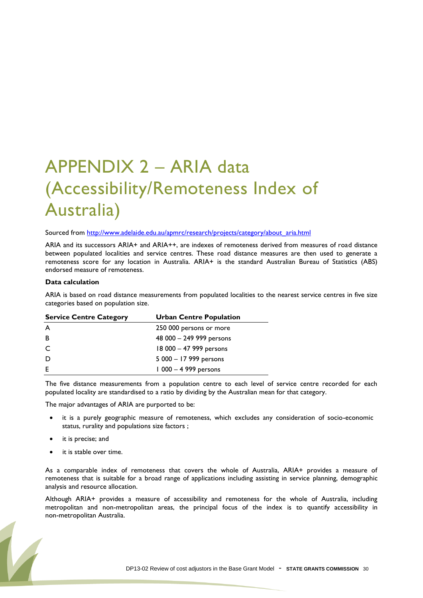## APPENDIX 2 – ARIA data (Accessibility/Remoteness Index of Australia)

Sourced from [http://www.adelaide.edu.au/apmrc/research/projects/category/about\\_aria.html](http://www.adelaide.edu.au/apmrc/research/projects/category/about_aria.html)

ARIA and its successors ARIA+ and ARIA++, are indexes of remoteness derived from measures of road distance between populated localities and service centres. These road distance measures are then used to generate a remoteness score for any location in Australia. ARIA+ is the standard Australian Bureau of Statistics (ABS) endorsed measure of remoteness.

#### **Data calculation**

ARIA is based on road distance measurements from populated localities to the nearest service centres in five size categories based on population size.

| <b>Service Centre Category</b> | <b>Urban Centre Population</b> |
|--------------------------------|--------------------------------|
| A                              | 250 000 persons or more        |
| B                              | 48 000 - 249 999 persons       |
| C                              | 18 000 - 47 999 persons        |
| D                              | 5 000 - 17 999 persons         |
| E                              | $1000 - 4999$ persons          |
|                                |                                |

The five distance measurements from a population centre to each level of service centre recorded for each populated locality are standardised to a ratio by dividing by the Australian mean for that category.

The major advantages of ARIA are purported to be:

- it is a purely geographic measure of remoteness, which excludes any consideration of socio-economic status, rurality and populations size factors ;
- it is precise; and
- it is stable over time.

As a comparable index of remoteness that covers the whole of Australia, ARIA+ provides a measure of remoteness that is suitable for a broad range of applications including assisting in service planning, demographic analysis and resource allocation.

Although ARIA+ provides a measure of accessibility and remoteness for the whole of Australia, including metropolitan and non-metropolitan areas, the principal focus of the index is to quantify accessibility in non-metropolitan Australia.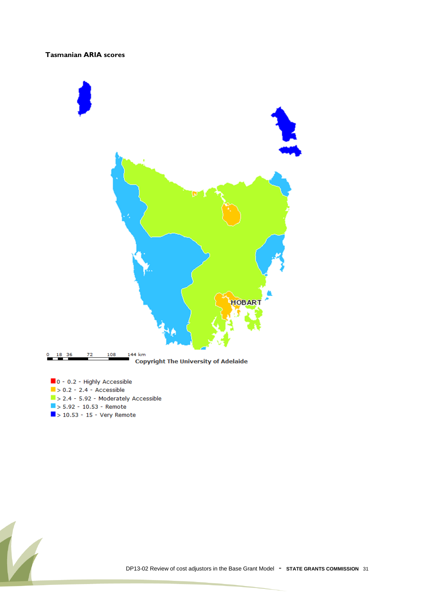#### **Tasmanian ARIA scores**



- 0 0.2 Highly Accessible  $\blacktriangleright$  0.2 - 2.4 - Accessible
- $\blacktriangleright$  2.4 5.92 Moderately Accessible
- $5.92 10.53 -$  Remote
- $\Box$  > 10.53 15 Very Remote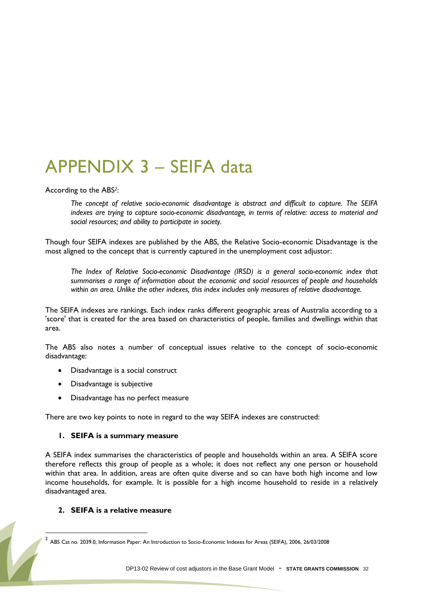## APPENDIX 3 – SEIFA data

According to the ABS*2*:

*The concept of relative socio-economic disadvantage is abstract and difficult to capture. The SEIFA indexes are trying to capture socio-economic disadvantage, in terms of relative: access to material and social resources; and ability to participate in society.*

Though four SEIFA indexes are published by the ABS, the Relative Socio-economic Disadvantage is the most aligned to the concept that is currently captured in the unemployment cost adjustor:

*The Index of Relative Socio-economic Disadvantage (IRSD) is a general socio-economic index that summarises a range of information about the economic and social resources of people and households within an area. Unlike the other indexes, this index includes only measures of relative disadvantage.*

The SEIFA indexes are rankings. Each index ranks different geographic areas of Australia according to a 'score' that is created for the area based on characteristics of people, families and dwellings within that area.

The ABS also notes a number of conceptual issues relative to the concept of socio-economic disadvantage:

- Disadvantage is a social construct
- Disadvantage is subjective
- Disadvantage has no perfect measure

There are two key points to note in regard to the way SEIFA indexes are constructed:

#### **1. SEIFA is a summary measure**

A SEIFA index summarises the characteristics of people and households within an area. A SEIFA score therefore reflects this group of people as a whole; it does not reflect any one person or household within that area. In addition, areas are often quite diverse and so can have both high income and low income households, for example. It is possible for a high income household to reside in a relatively disadvantaged area.

#### **2. SEIFA is a relative measure**

 $\overline{a}$ 

<sup>2</sup> ABS Cat no. 2039.0, Information Paper: An Introduction to Socio-Economic Indexes for Areas (SEIFA), 2006, 26/03/2008